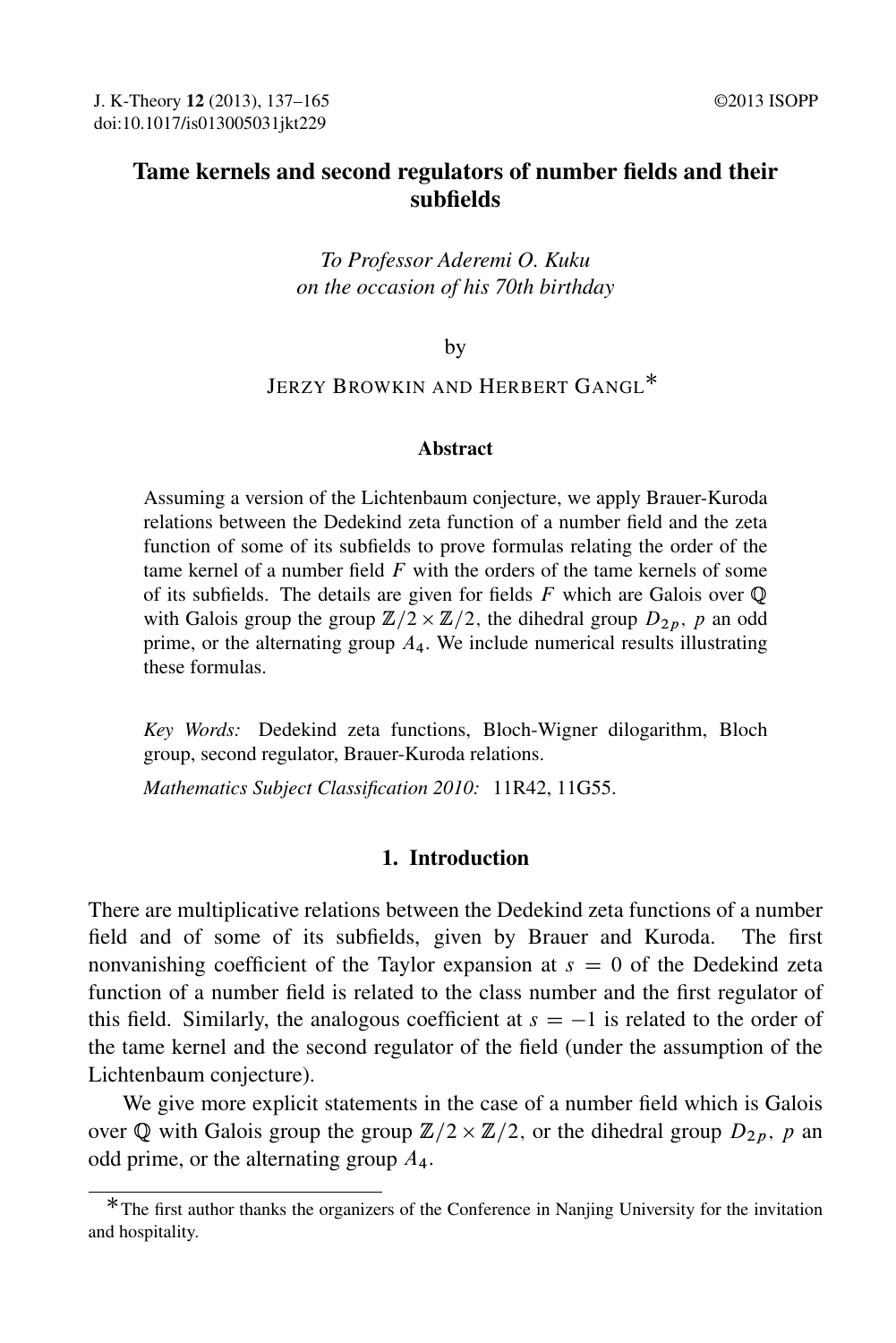# Tame kernels and second regulators of number fields and their subfields

## *To Professor Aderemi O. Kuku on the occasion of his 70th birthday*

by

# Jerzy Browkin and Herbert Gangl<sup>\*</sup>

#### Abstract

Assuming a version of the Lichtenbaum conjecture, we apply Brauer-Kuroda relations between the Dedekind zeta function of a number field and the zeta function of some of its subfields to prove formulas relating the order of the tame kernel of a number field  $F$  with the orders of the tame kernels of some of its subfields. The details are given for fields  $F$  which are Galois over  $\mathbb{Q}$ with Galois group the group  $\mathbb{Z}/2 \times \mathbb{Z}/2$ , the dihedral group  $D_{2p}$ , p an odd prime, or the alternating group  $A_4$ . We include numerical results illustrating these formulas.

*Key Words:* Dedekind zeta functions, Bloch-Wigner dilogarithm, Bloch group, second regulator, Brauer-Kuroda relations.

*Mathematics Subject Classification 2010:* 11R42, 11G55.

### 1. Introduction

There are multiplicative relations between the Dedekind zeta functions of a number field and of some of its subfields, given by Brauer and Kuroda. The first nonvanishing coefficient of the Taylor expansion at  $s = 0$  of the Dedekind zeta function of a number field is related to the class number and the first regulator of this field. Similarly, the analogous coefficient at  $s = -1$  is related to the order of the tame kernel and the second regulator of the field (under the assumption of the Lichtenbaum conjecture).

We give more explicit statements in the case of a number field which is Galois over Q with Galois group the group  $\mathbb{Z}/2 \times \mathbb{Z}/2$ , or the dihedral group  $D_{2p}$ , p an odd prime, or the alternating group  $A_4$ .

<sup>\*</sup>The first author thanks the organizers of the Conference in Nanjing University for the invitation and hospitality.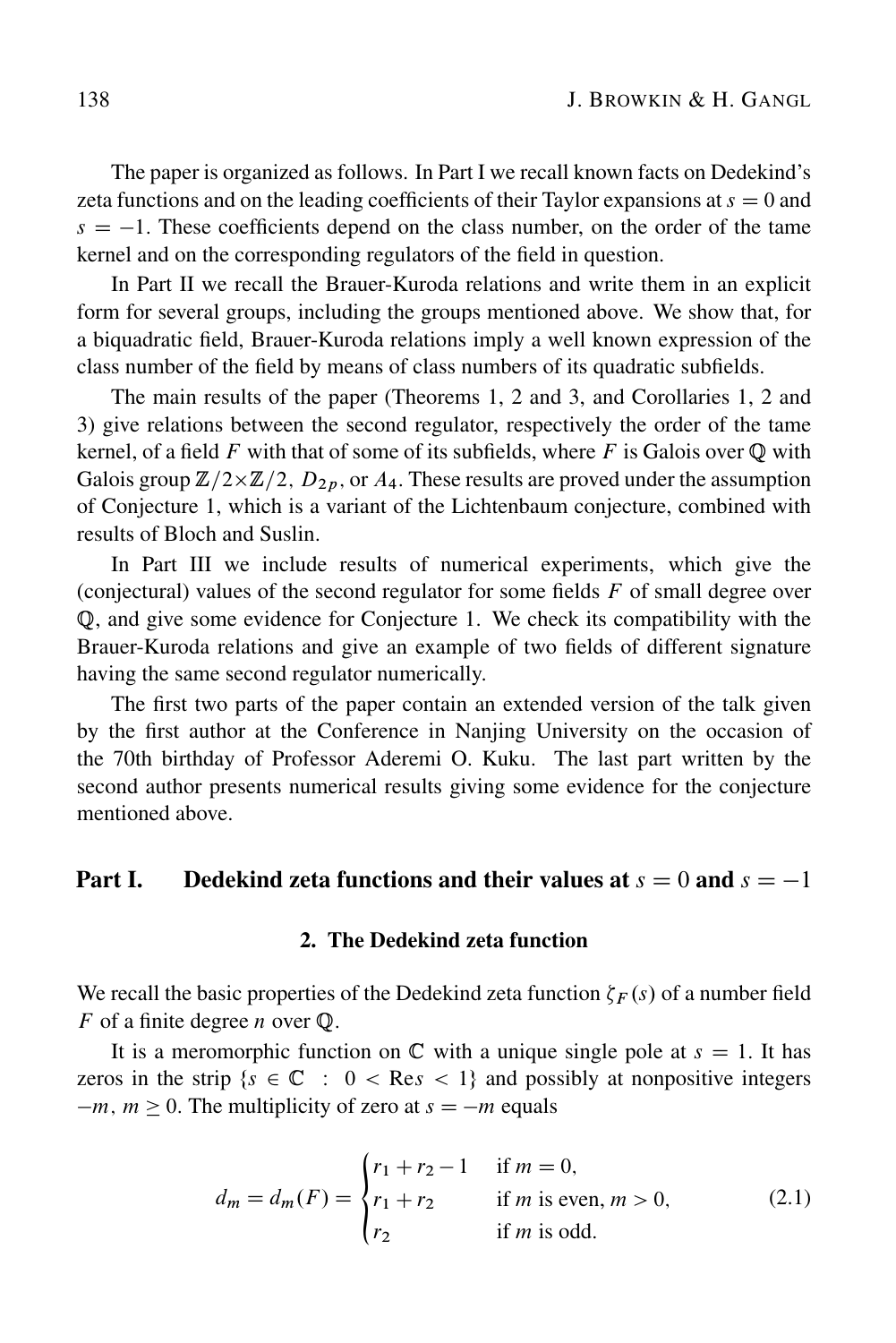The paper is organized as follows. In Part I we recall known facts on Dedekind's zeta functions and on the leading coefficients of their Taylor expansions at  $s = 0$  and  $s = -1$ . These coefficients depend on the class number, on the order of the tame kernel and on the corresponding regulators of the field in question.

In Part II we recall the Brauer-Kuroda relations and write them in an explicit form for several groups, including the groups mentioned above. We show that, for a biquadratic field, Brauer-Kuroda relations imply a well known expression of the class number of the field by means of class numbers of its quadratic subfields.

The main results of the paper (Theorems 1, 2 and 3, and Corollaries 1, 2 and 3) give relations between the second regulator, respectively the order of the tame kernel, of a field F with that of some of its subfields, where F is Galois over  $\mathbb{O}$  with Galois group  $\mathbb{Z}/2\times\mathbb{Z}/2$ ,  $D_{2p}$ , or  $A_4$ . These results are proved under the assumption of Conjecture 1, which is a variant of the Lichtenbaum conjecture, combined with results of Bloch and Suslin.

In Part III we include results of numerical experiments, which give the (conjectural) values of the second regulator for some fields  $F$  of small degree over Q, and give some evidence for Conjecture 1. We check its compatibility with the Brauer-Kuroda relations and give an example of two fields of different signature having the same second regulator numerically.

The first two parts of the paper contain an extended version of the talk given by the first author at the Conference in Nanjing University on the occasion of the 70th birthday of Professor Aderemi O. Kuku. The last part written by the second author presents numerical results giving some evidence for the conjecture mentioned above.

# Part I. Dedekind zeta functions and their values at  $s = 0$  and  $s = -1$

#### 2. The Dedekind zeta function

We recall the basic properties of the Dedekind zeta function  $\zeta_F(s)$  of a number field F of a finite degree n over Q. F of a finite degree *n* over  $\mathbb{Q}$ .

It is a meromorphic function on  $\mathbb C$  with a unique single pole at  $s = 1$ . It has zeros in the strip  $\{s \in \mathbb{C} : 0 < \text{Res} < 1\}$  and possibly at nonpositive integers  $-m$ ,  $m \ge 0$ . The multiplicity of zero at  $s = -m$  equals

$$
d_m = d_m(F) = \begin{cases} r_1 + r_2 - 1 & \text{if } m = 0, \\ r_1 + r_2 & \text{if } m \text{ is even, } m > 0, \\ r_2 & \text{if } m \text{ is odd.} \end{cases}
$$
(2.1)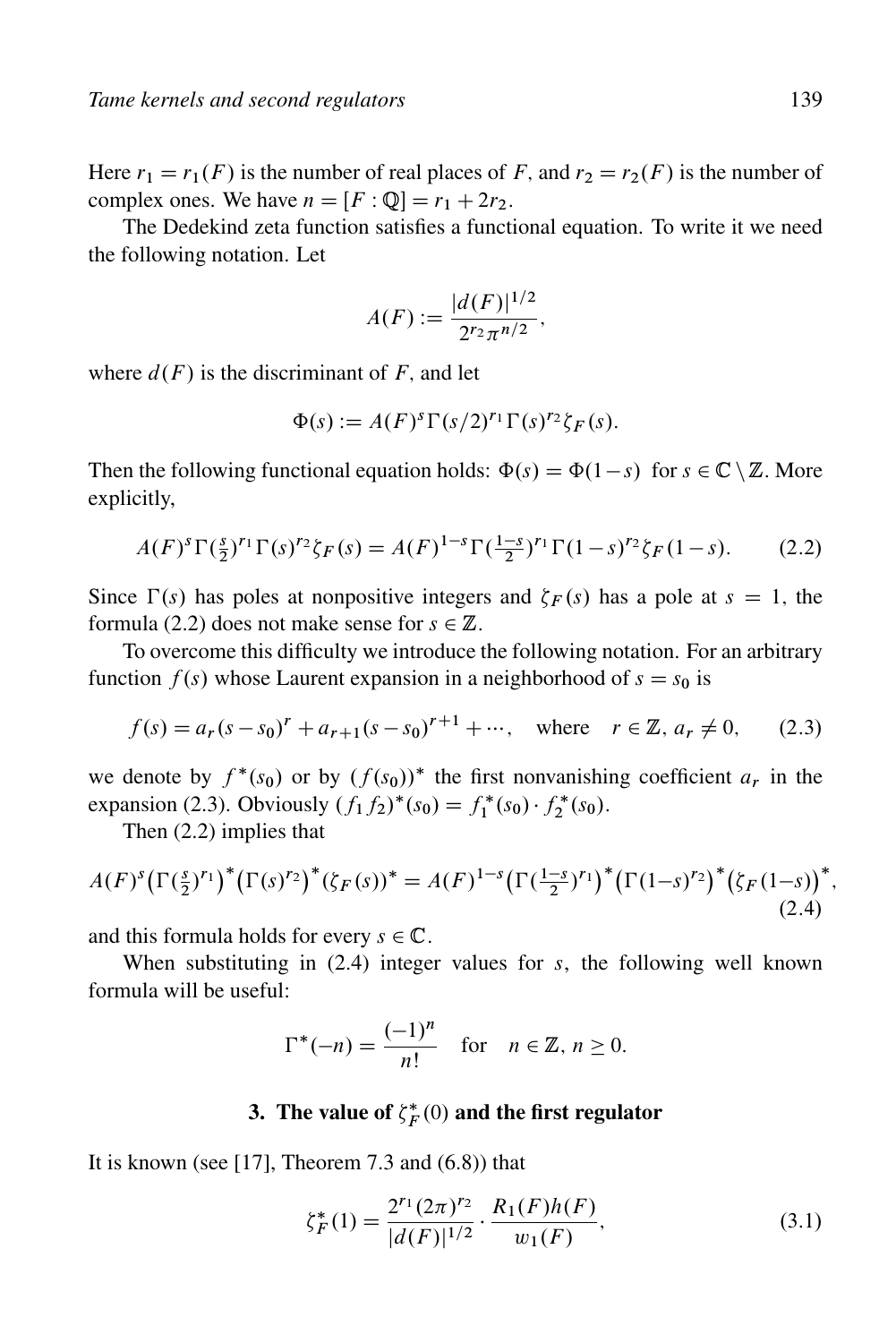Here  $r_1 = r_1(F)$  is the number of real places of F, and  $r_2 = r_2(F)$  is the number of complex ones. We have  $n = [F : \mathbb{O}]=r_1 + 2r_2$ .

The Dedekind zeta function satisfies a functional equation. To write it we need the following notation. Let

$$
A(F) := \frac{|d(F)|^{1/2}}{2^{r_2} \pi^{n/2}},
$$

where  $d(F)$  is the discriminant of F, and let

$$
\Phi(s) := A(F)^s \Gamma(s/2)^{r_1} \Gamma(s)^{r_2} \zeta_F(s).
$$

Then the following functional equation holds:  $\Phi(s) = \Phi(1-s)$  for  $s \in \mathbb{C} \setminus \mathbb{Z}$ . More explicitly,

$$
A(F)^{s} \Gamma(\frac{s}{2})^{r_1} \Gamma(s)^{r_2} \zeta_F(s) = A(F)^{1-s} \Gamma(\frac{1-s}{2})^{r_1} \Gamma(1-s)^{r_2} \zeta_F(1-s).
$$
 (2.2)

Since  $\Gamma(s)$  has poles at nonpositive integers and  $\zeta_F(s)$  has a pole at  $s = 1$ , the formula (2.2) does not make sense for  $s \in \mathbb{Z}$ .

To overcome this difficulty we introduce the following notation. For an arbitrary function  $f(s)$  whose Laurent expansion in a neighborhood of  $s = s_0$  is

$$
f(s) = a_r(s - s_0)^r + a_{r+1}(s - s_0)^{r+1} + \cdots, \text{ where } r \in \mathbb{Z}, a_r \neq 0,
$$
 (2.3)

we denote by  $f^*(s_0)$  or by  $(f(s_0))^*$  the first nonvanishing coefficient  $a_r$  in the expansion (2.3). Obviously  $(f_1 f_2)^*(s_0) = f_1^*(s_0) \cdot f_2^*(s_0)$ .

Then (2.2) implies that

$$
A(F)^{s}(\Gamma(\frac{s}{2})^{r_1})^*(\Gamma(s)^{r_2})^*(\zeta_F(s))^* = A(F)^{1-s}(\Gamma(\frac{1-s}{2})^{r_1})^*(\Gamma(1-s)^{r_2})^*(\zeta_F(1-s))^*,
$$
\n(2.4)

and this formula holds for every  $s \in \mathbb{C}$ .

When substituting in  $(2.4)$  integer values for s, the following well known formula will be useful:

$$
\Gamma^*(-n) = \frac{(-1)^n}{n!} \quad \text{for} \quad n \in \mathbb{Z}, n \ge 0.
$$

# 3. The value of  $\zeta_F^*(0)$  and the first regulator

It is known (see [17], Theorem 7.3 and  $(6.8)$ ) that

$$
\zeta_F^*(1) = \frac{2^{r_1}(2\pi)^{r_2}}{|d(F)|^{1/2}} \cdot \frac{R_1(F)h(F)}{w_1(F)},
$$
\n(3.1)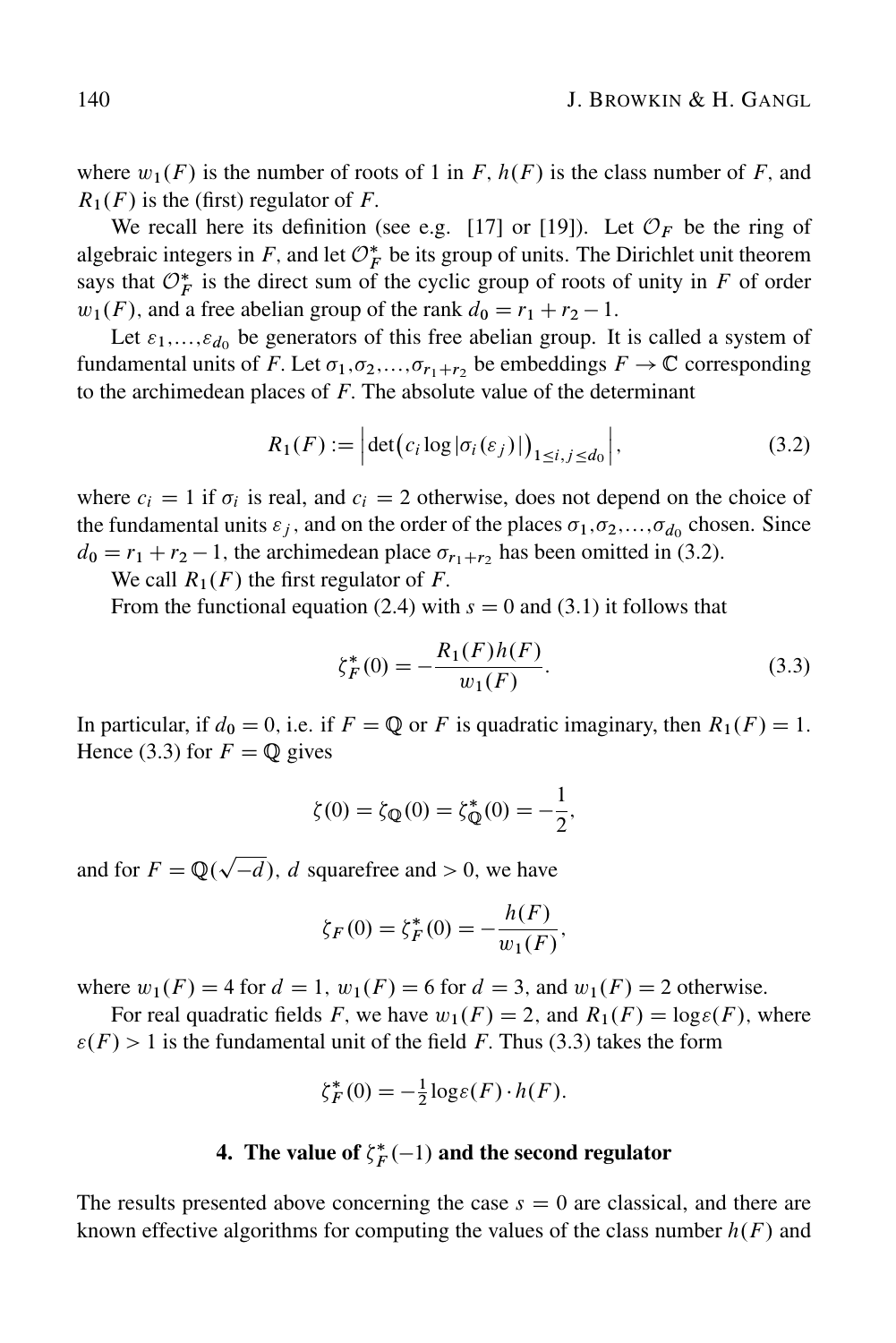where  $w_1(F)$  is the number of roots of 1 in F,  $h(F)$  is the class number of F, and  $R_1(F)$  is the (first) regulator of F.

We recall here its definition (see e.g. [17] or [19]). Let  $\mathcal{O}_F$  be the ring of algebraic integers in F, and let  $\mathcal{O}_F^*$  be its group of units. The Dirichlet unit theorem says that  $\mathcal{O}_F^*$  is the direct sum of the cyclic group of roots of unity in F of order  $w_1(F)$ , and a free abelian group of the rank  $d_0 = r_1 + r_2 - 1$ .

Let  $\varepsilon_1,...,\varepsilon_{d_0}$  be generators of this free abelian group. It is called a system of fundamental units of F. Let  $\sigma_1, \sigma_2, \ldots, \sigma_{r_1+r_2}$  be embeddings  $F \to \mathbb{C}$  corresponding to the archimedean places of  $F$ . The absolute value of the determinant

$$
R_1(F) := \left| \det \left( c_i \log |\sigma_i(\varepsilon_j)| \right)_{1 \le i, j \le d_0} \right|,\tag{3.2}
$$

where  $c_i = 1$  if  $\sigma_i$  is real, and  $c_i = 2$  otherwise, does not depend on the choice of the fundamental units  $\varepsilon_j$ , and on the order of the places  $\sigma_1, \sigma_2, \ldots, \sigma_{d_0}$  chosen. Since  $d_0 = r_1 + r_2 - 1$ , the archimedean place  $\sigma_{r_1+r_2}$  has been omitted in (3.2).

We call  $R_1(F)$  the first regulator of F.

From the functional equation (2.4) with  $s = 0$  and (3.1) it follows that

$$
\zeta_F^*(0) = -\frac{R_1(F)h(F)}{w_1(F)}.\tag{3.3}
$$

In particular, if  $d_0 = 0$ , i.e. if  $F = \mathbb{Q}$  or F is quadratic imaginary, then  $R_1(F) = 1$ . Hence (3.3) for  $F = \mathbb{Q}$  gives

$$
\zeta(0) = \zeta_{\mathbb{Q}}(0) = \zeta_{\mathbb{Q}}^*(0) = -\frac{1}{2},
$$

and for  $F = \mathbb{Q}(\sqrt{-d})$ , d squarefree and  $> 0$ , we have

$$
\zeta_F(0) = \zeta_F^*(0) = -\frac{h(F)}{w_1(F)},
$$

where  $w_1(F) = 4$  for  $d = 1$ ,  $w_1(F) = 6$  for  $d = 3$ , and  $w_1(F) = 2$  otherwise.

For real quadratic fields F, we have  $w_1(F) = 2$ , and  $R_1(F) = \log \varepsilon(F)$ , where  $\varepsilon(F) > 1$  is the fundamental unit of the field F. Thus (3.3) takes the form

$$
\zeta_F^*(0) = -\frac{1}{2}\log \varepsilon(F) \cdot h(F).
$$

# 4. The value of  $\zeta_F^*(-1)$  and the second regulator

The results presented above concerning the case  $s = 0$  are classical, and there are known effective algorithms for computing the values of the class number  $h(F)$  and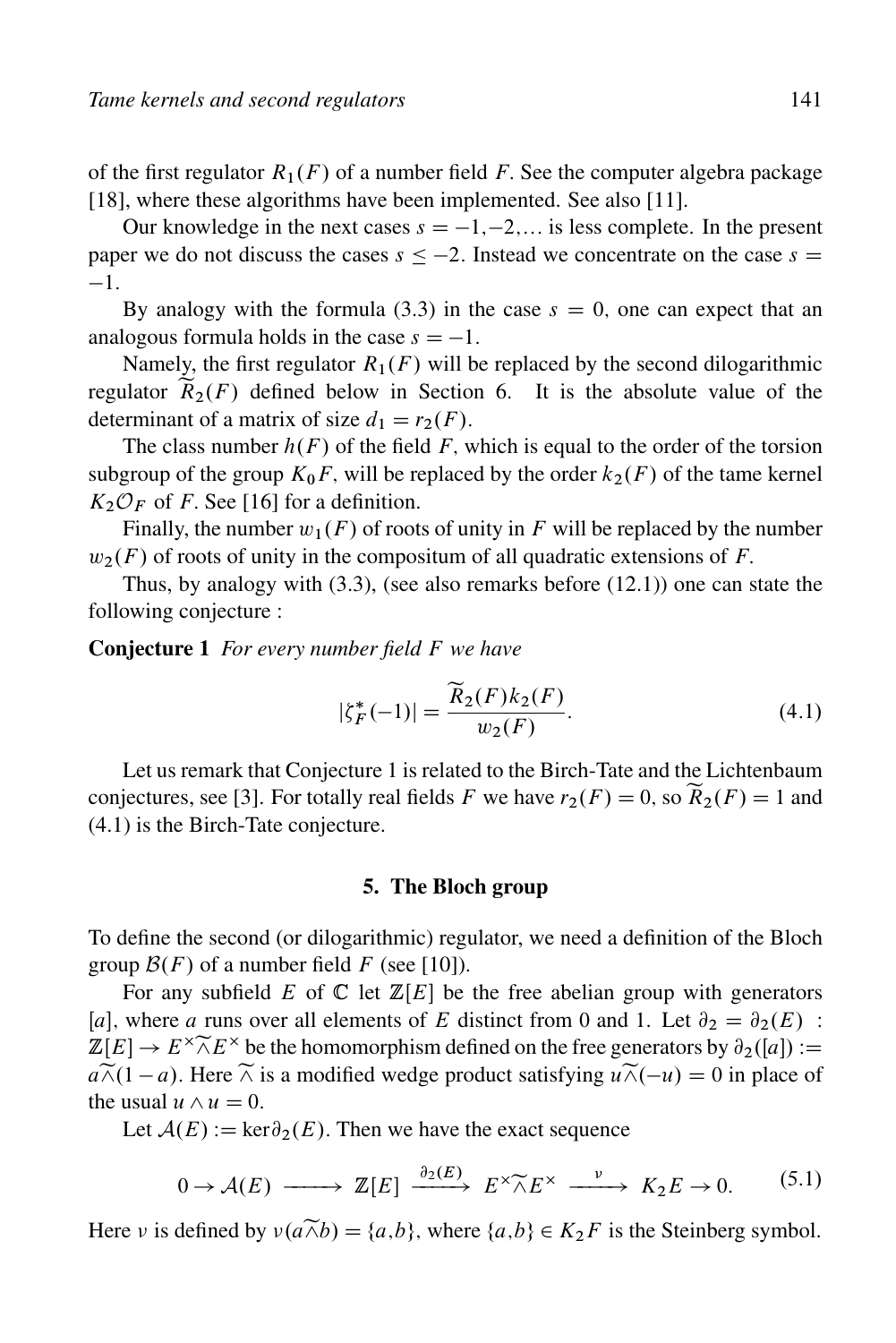of the first regulator  $R_1(F)$  of a number field F. See the computer algebra package [18], where these algorithms have been implemented. See also [11].

Our knowledge in the next cases  $s = -1, -2, \dots$  is less complete. In the present paper we do not discuss the cases  $s < -2$ . Instead we concentrate on the case  $s =$  $-1.$ 

By analogy with the formula (3.3) in the case  $s = 0$ , one can expect that an analogous formula holds in the case  $s = -1$ .

Namely, the first regulator  $R_1(F)$  will be replaced by the second dilogarithmic regulator  $\tilde{R}_2(F)$  defined below in Section 6. It is the absolute value of the determinant of a matrix of size  $d_1 = r_2(F)$ .

The class number  $h(F)$  of the field F, which is equal to the order of the torsion subgroup of the group  $K_0F$ , will be replaced by the order  $k_2(F)$  of the tame kernel  $K_2 \mathcal{O}_F$  of F. See [16] for a definition.

Finally, the number  $w_1(F)$  of roots of unity in F will be replaced by the number  $w_2(F)$  of roots of unity in the compositum of all quadratic extensions of F.

Thus, by analogy with  $(3.3)$ , (see also remarks before  $(12.1)$ ) one can state the following conjecture :

Conjecture 1 *For every number field* F *we have*

$$
|\zeta_F^*(-1)| = \frac{\widetilde{R}_2(F)k_2(F)}{w_2(F)}.
$$
\n(4.1)

Let us remark that Conjecture 1 is related to the Birch-Tate and the Lichtenbaum conjectures, see [3]. For totally real fields F we have  $r_2(F) = 0$ , so  $\widetilde{R}_2(F) = 1$  and (4.1) is the Birch-Tate conjecture.

#### 5. The Bloch group

To define the second (or dilogarithmic) regulator, we need a definition of the Bloch group  $\mathcal{B}(F)$  of a number field F (see [10]).

For any subfield E of  $\mathbb C$  let  $\mathbb Z[E]$  be the free abelian group with generators [a], where a runs over all elements of E distinct from 0 and 1. Let  $\partial_2 = \partial_2(E)$ :  $\mathbb{Z}[E] \to E^{\times} \widetilde{\wedge} E^{\times}$  be the homomorphism defined on the free generators by  $\partial_2([a]) :=$  $a\widetilde{\wedge} (1 - a)$ . Here  $\widetilde{\wedge}$  is a modified wedge product satisfying  $u\widetilde{\wedge} (-u) = 0$  in place of the usual  $u \wedge u = 0$ .

Let  $A(E) := \text{ker} \partial_2(E)$ . Then we have the exact sequence

$$
0 \to \mathcal{A}(E) \longrightarrow \mathbb{Z}[E] \xrightarrow{\partial_2(E)} E^{\times} \widetilde{\wedge} E^{\times} \xrightarrow{\nu} K_2 E \to 0. \tag{5.1}
$$

Here v is defined by  $v(a\widetilde{\wedge}b) = \{a,b\}$ , where  $\{a,b\} \in K_2F$  is the Steinberg symbol.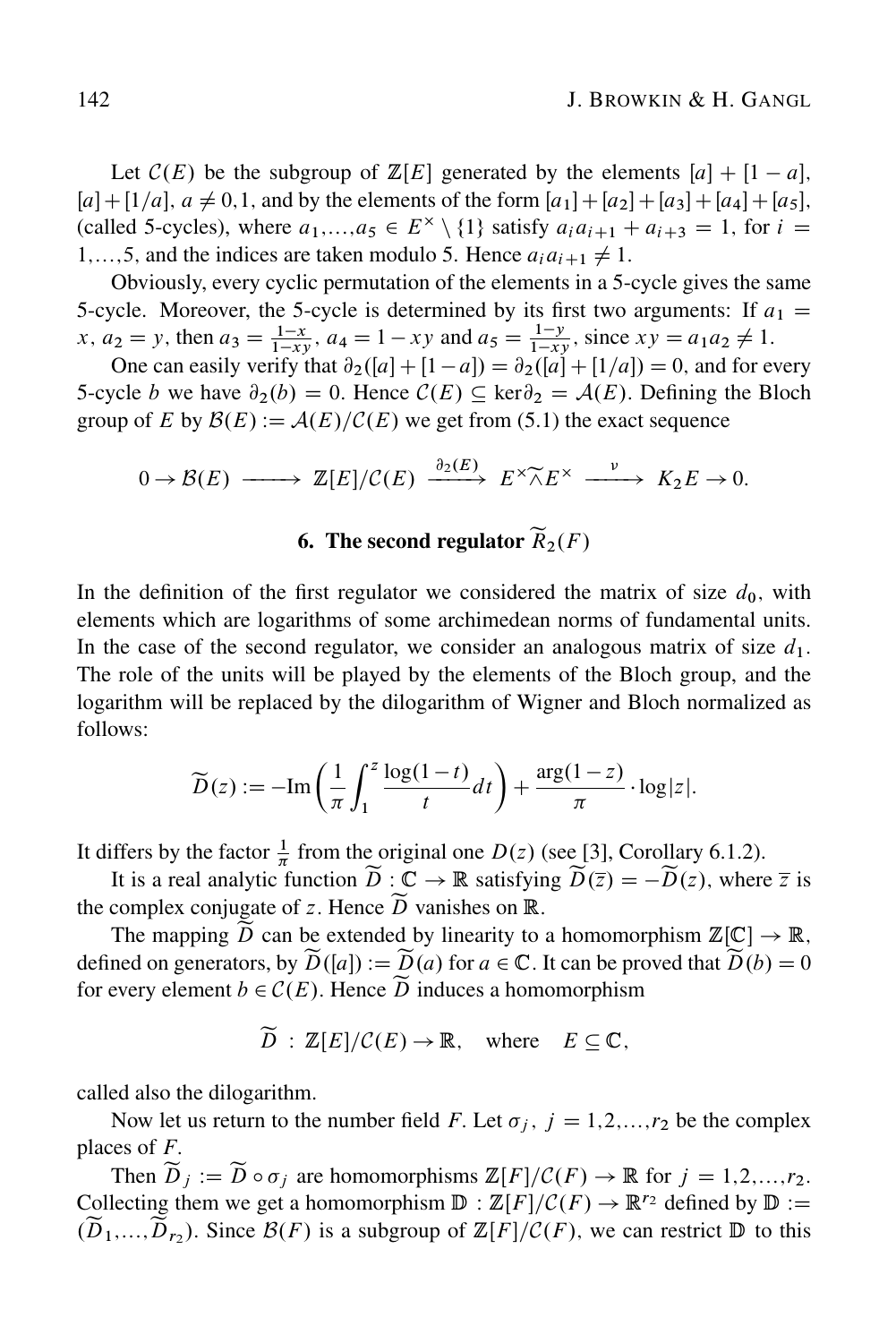Let  $C(E)$  be the subgroup of  $\mathbb{Z}[E]$  generated by the elements  $[a] + [1 - a]$ ,  $[a] + [1/a], a \neq 0,1$ , and by the elements of the form  $[a_1] + [a_2] + [a_3] + [a_4] + [a_5]$ . (called 5-cycles), where  $a_1,...,a_5 \in E^{\times} \setminus \{1\}$  satisfy  $a_i a_{i+1} + a_{i+3} = 1$ , for  $i =$ 1,...,5, and the indices are taken modulo 5. Hence  $a_i a_{i+1} \neq 1$ .

Obviously, every cyclic permutation of the elements in a 5-cycle gives the same 5-cycle. Moreover, the 5-cycle is determined by its first two arguments: If  $a_1 =$ x,  $a_2 = y$ , then  $a_3 = \frac{1-x}{1-x}$  $\frac{1-x}{1-xy}$ ,  $a_4 = 1 - xy$  and  $a_5 = \frac{1-y}{1-x}$  $\frac{1-y}{1-xy}$ , since  $xy = a_1 a_2 \neq 1$ .

One can easily verify that  $\partial_2(|a| + |1 - a|) = \partial_2(|a| + |1/a|) = 0$ , and for every 5-cycle b we have  $\partial_2(b) = 0$ . Hence  $\mathcal{C}(E) \subseteq \text{ker}\partial_2 = \mathcal{A}(E)$ . Defining the Bloch group of E by  $\mathcal{B}(E) := \mathcal{A}(E)/\mathcal{C}(E)$  we get from (5.1) the exact sequence

$$
0 \to \mathcal{B}(E) \longrightarrow \mathbb{Z}[E]/\mathcal{C}(E) \xrightarrow{\partial_2(E)} E^{\times} \widetilde{\wedge} E^{\times} \xrightarrow{\nu} K_2 E \to 0.
$$

# 6. The second regulator  $\widetilde{R}_2(F)$

In the definition of the first regulator we considered the matrix of size  $d_0$ , with elements which are logarithms of some archimedean norms of fundamental units. In the case of the second regulator, we consider an analogous matrix of size  $d_1$ . The role of the units will be played by the elements of the Bloch group, and the logarithm will be replaced by the dilogarithm of Wigner and Bloch normalized as follows:

$$
\widetilde{D}(z) := -\mathrm{Im}\left(\frac{1}{\pi}\int_1^z \frac{\log(1-t)}{t} dt\right) + \frac{\arg(1-z)}{\pi} \cdot \log|z|.
$$

It differs by the factor  $\frac{1}{\pi}$  from the original one  $D(z)$  (see [3], Corollary 6.1.2).

It is a real analytic function  $\widetilde{D}: \mathbb{C} \to \mathbb{R}$  satisfying  $\widetilde{D}(\overline{z}) = -\widetilde{D}(z)$ , where  $\overline{z}$  is the complex conjugate of z. Hence  $\widetilde{D}$  vanishes on R.

The mapping  $\widetilde{D}$  can be extended by linearity to a homomorphism  $\mathbb{Z}[\mathbb{C}] \to \mathbb{R}$ , defined on generators, by  $\widetilde{D}([a]) := \widetilde{D}(a)$  for  $a \in \mathbb{C}$ . It can be proved that  $\widetilde{D}(b) = 0$ for every element  $b \in \mathcal{C}(E)$ . Hence  $\widetilde{D}$  induces a homomorphism

 $\widetilde{D}: \mathbb{Z}[E]/\mathcal{C}(E) \to \mathbb{R}$ , where  $E \subseteq \mathbb{C}$ ,

called also the dilogarithm.

Now let us return to the number field F. Let  $\sigma_j$ ,  $j = 1,2,...,r_2$  be the complex places of  $F$ .

Then  $\widetilde{D}_i := \widetilde{D} \circ \sigma_i$  are homomorphisms  $\mathbb{Z}[F]/\mathcal{C}(F) \to \mathbb{R}$  for  $j = 1,2,...,r_2$ . Collecting them we get a homomorphism  $\mathbb{D} : \mathbb{Z}[F] / \mathcal{C}(F) \to \mathbb{R}^{r_2}$  defined by  $\mathbb{D} :=$  $(\widetilde{D}_1,...,\widetilde{D}_{r_2})$ . Since  $\mathcal{B}(F)$  is a subgroup of  $\mathbb{Z}[F]/\mathcal{C}(F)$ , we can restrict  $\mathbb D$  to this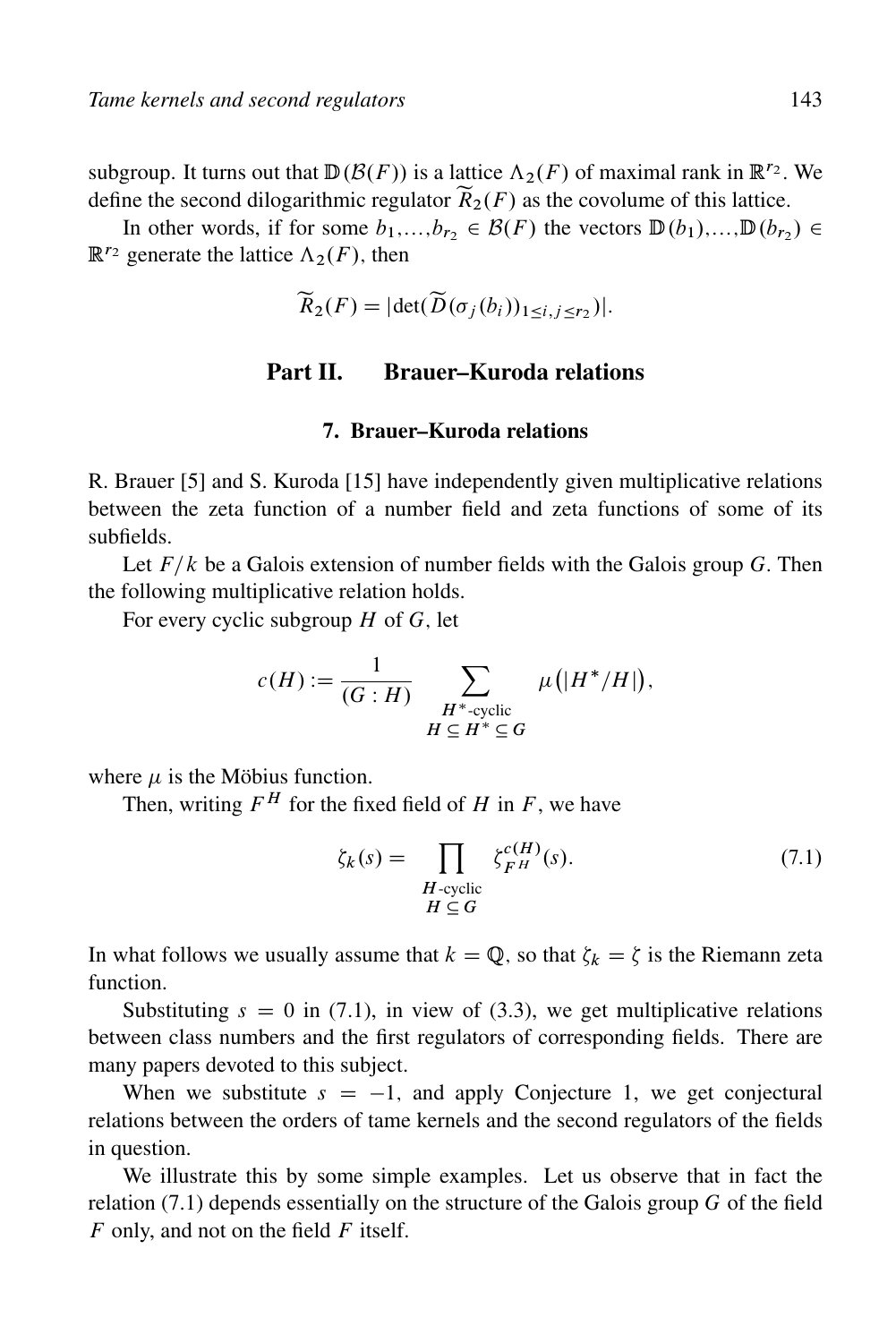subgroup. It turns out that  $\mathbb{D}(\mathcal{B}(F))$  is a lattice  $\Lambda_2(F)$  of maximal rank in  $\mathbb{R}^{r_2}$ . We define the second dilogarithmic regulator  $\widetilde{R}_2(F)$  as the covolume of this lattice.

In other words, if for some  $b_1,...,b_{r_2} \in \mathcal{B}(F)$  the vectors  $\mathbb{D}(b_1),...,\mathbb{D}(b_{r_2}) \in$  $\mathbb{R}^{r_2}$  generate the lattice  $\Lambda_2(F)$ , then

$$
\widetilde{R}_2(F) = |\det(\widetilde{D}(\sigma_j(b_i))_{1 \le i,j \le r_2})|.
$$

# Part II. Brauer–Kuroda relations

### 7. Brauer–Kuroda relations

R. Brauer [5] and S. Kuroda [15] have independently given multiplicative relations between the zeta function of a number field and zeta functions of some of its subfields.

Let  $F/k$  be a Galois extension of number fields with the Galois group G. Then the following multiplicative relation holds.

For every cyclic subgroup  $H$  of  $G$ , let

$$
c(H) := \frac{1}{(G:H)} \sum_{\substack{H^* \text{-cyclic} \\ H \subseteq H^* \subseteq G}} \mu(|H^* / H|),
$$

where  $\mu$  is the Möbius function.

Then, writing  $F^H$  for the fixed field of H in F, we have

$$
\zeta_k(s) = \prod_{\substack{H-\text{cyclic} \\ H \subseteq G}} \zeta_{F^H}^{c(H)}(s). \tag{7.1}
$$

In what follows we usually assume that  $k = \mathbb{Q}$ , so that  $\zeta_k = \zeta$  is the Riemann zeta function.

Substituting  $s = 0$  in (7.1), in view of (3.3), we get multiplicative relations between class numbers and the first regulators of corresponding fields. There are many papers devoted to this subject.

When we substitute  $s = -1$ , and apply Conjecture 1, we get conjectural relations between the orders of tame kernels and the second regulators of the fields in question.

We illustrate this by some simple examples. Let us observe that in fact the relation  $(7.1)$  depends essentially on the structure of the Galois group G of the field  $F$  only, and not on the field  $F$  itself.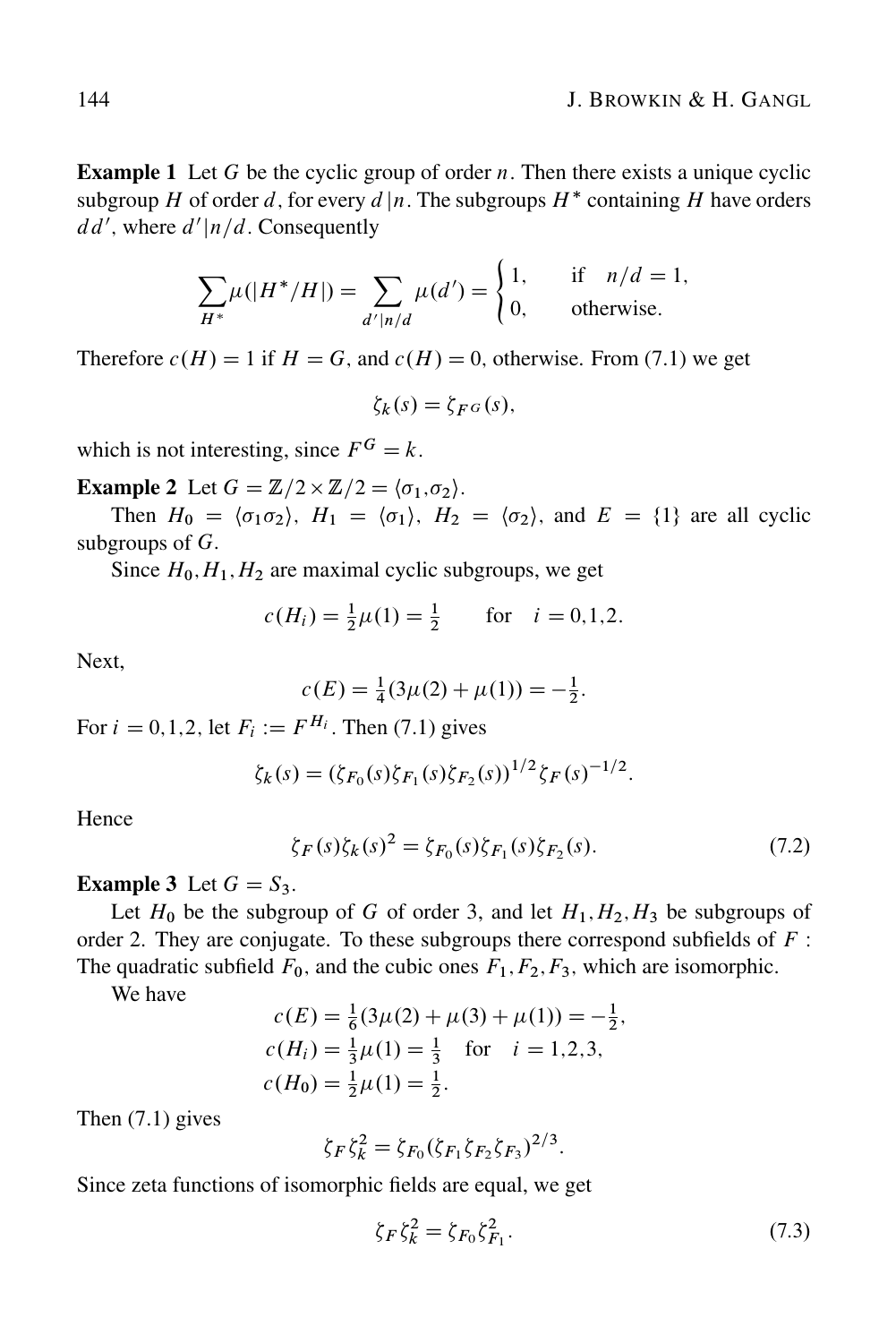**Example 1** Let G be the cyclic group of order  $n$ . Then there exists a unique cyclic subgroup H of order d, for every  $d|n$ . The subgroups  $H^*$  containing H have orders  $dd'$ , where  $d'|n/d$ . Consequently

$$
\sum_{H^*} \mu(|H^* / H|) = \sum_{d'|n/d} \mu(d') = \begin{cases} 1, & \text{if } n/d = 1, \\ 0, & \text{otherwise.} \end{cases}
$$

Therefore  $c(H) = 1$  if  $H = G$ , and  $c(H) = 0$ , otherwise. From (7.1) we get

$$
\zeta_k(s) = \zeta_{F^G}(s),
$$

which is not interesting, since  $F^G = k$ .

**Example 2** Let  $G = \mathbb{Z}/2 \times \mathbb{Z}/2 = \langle \sigma_1, \sigma_2 \rangle$ .

Then  $H_0 = \langle \sigma_1 \sigma_2 \rangle$ ,  $H_1 = \langle \sigma_1 \rangle$ ,  $H_2 = \langle \sigma_2 \rangle$ , and  $E = \{1\}$  are all cyclic subgroups of  $G$ .

Since  $H_0, H_1, H_2$  are maximal cyclic subgroups, we get

$$
c(H_i) = \frac{1}{2}\mu(1) = \frac{1}{2}
$$
 for  $i = 0, 1, 2$ .

Next,

$$
c(E) = \frac{1}{4}(3\mu(2) + \mu(1)) = -\frac{1}{2}.
$$

For  $i = 0,1,2$ , let  $F_i := F^{H_i}$ . Then (7.1) gives

$$
\zeta_K(s) = (\zeta_{F_0}(s)\zeta_{F_1}(s)\zeta_{F_2}(s))^{1/2}\zeta_F(s)^{-1/2}.
$$

Hence

$$
\zeta_F(s)\zeta_k(s)^2 = \zeta_{F_0}(s)\zeta_{F_1}(s)\zeta_{F_2}(s). \tag{7.2}
$$

**Example 3** Let  $G = S_3$ .

Let  $H_0$  be the subgroup of G of order 3, and let  $H_1, H_2, H_3$  be subgroups of order 2. They are conjugate. To these subgroups there correspond subfields of  $F$ : The quadratic subfield  $F_0$ , and the cubic ones  $F_1, F_2, F_3$ , which are isomorphic.

We have

$$
c(E) = \frac{1}{6}(3\mu(2) + \mu(3) + \mu(1)) = -\frac{1}{2},
$$
  
\n
$$
c(H_i) = \frac{1}{3}\mu(1) = \frac{1}{3} \text{ for } i = 1, 2, 3,
$$
  
\n
$$
c(H_0) = \frac{1}{2}\mu(1) = \frac{1}{2}.
$$

Then (7.1) gives

$$
\zeta_F \zeta_k^2 = \zeta_{F_0} (\zeta_{F_1} \zeta_{F_2} \zeta_{F_3})^{2/3}.
$$

Since zeta functions of isomorphic fields are equal, we get

$$
\zeta_F \zeta_k^2 = \zeta_{F_0} \zeta_{F_1}^2. \tag{7.3}
$$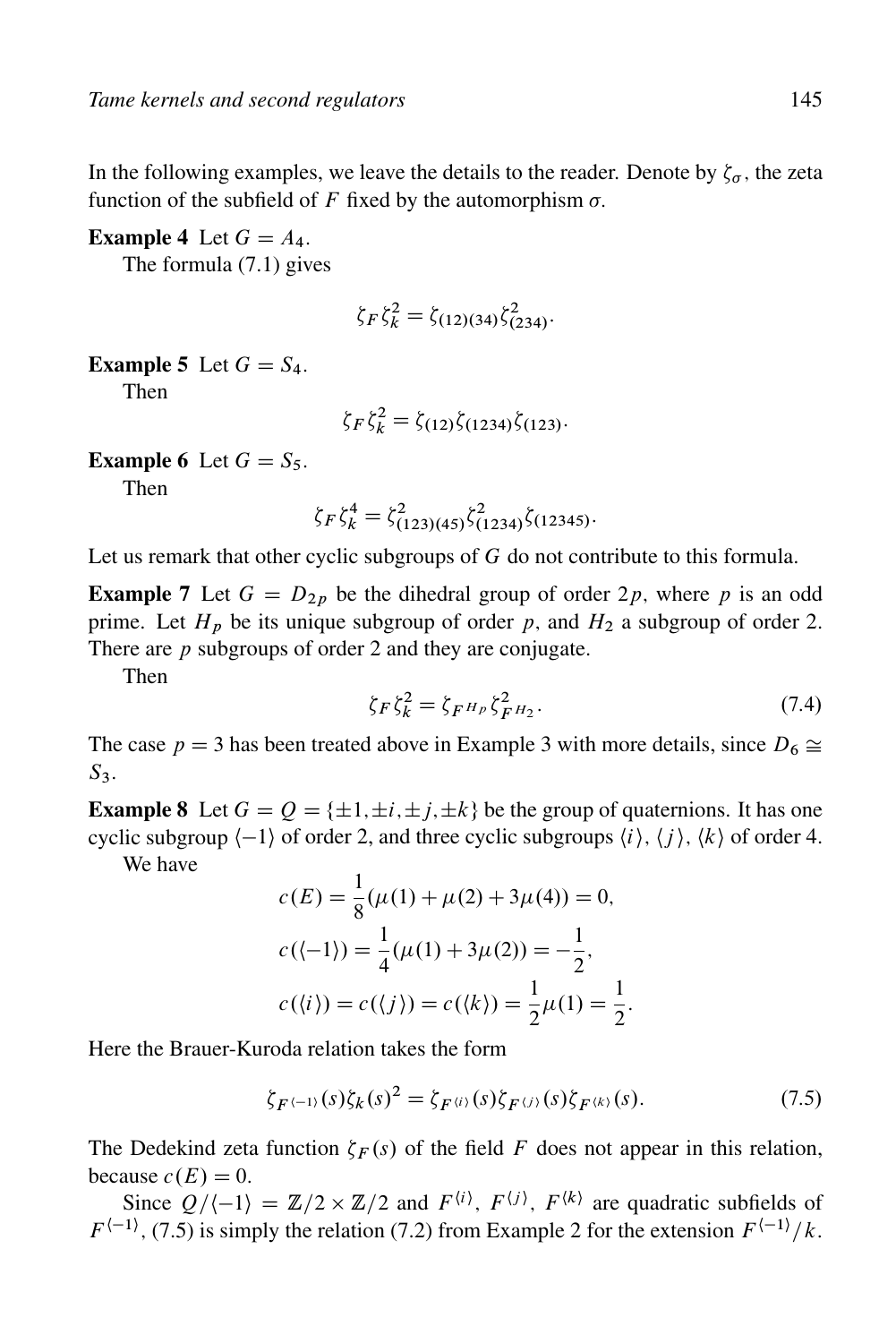In the following examples, we leave the details to the reader. Denote by  $\zeta_{\sigma}$ , the zeta function of the subfield of F fixed by the automorphism  $\sigma$ .

**Example 4** Let  $G = A_4$ .

The formula (7.1) gives

$$
\zeta_F \zeta_k^2 = \zeta_{(12)(34)} \zeta_{(234)}^2.
$$

### **Example 5** Let  $G = S_4$ .

Then

$$
\zeta_F \zeta_k^2 = \zeta_{(12)} \zeta_{(1234)} \zeta_{(123)}.
$$

#### **Example 6** Let  $G = S_5$ .

Then

$$
\zeta_F \zeta_k^4 = \zeta_{(123)(45)}^2 \zeta_{(1234)}^2 \zeta_{(12345)}.
$$

Let us remark that other cyclic subgroups of G do not contribute to this formula.

**Example 7** Let  $G = D_{2p}$  be the dihedral group of order 2p, where p is an odd prime. Let  $H_p$  be its unique subgroup of order p, and  $H_2$  a subgroup of order 2. There are  $p$  subgroups of order 2 and they are conjugate.

Then

$$
\zeta_F \zeta_k^2 = \zeta_{F^H} \zeta_{F^H2}^2. \tag{7.4}
$$

The case  $p = 3$  has been treated above in Example 3 with more details, since  $D_6 \cong$  $S<sub>3</sub>$ .

**Example 8** Let  $G = Q = \{\pm 1, \pm i, \pm j, \pm k\}$  be the group of quaternions. It has one cyclic subgroup  $\langle -1 \rangle$  of order 2, and three cyclic subgroups  $\langle i \rangle$ ,  $\langle i \rangle$ ,  $\langle k \rangle$  of order 4.

We have

$$
c(E) = \frac{1}{8}(\mu(1) + \mu(2) + 3\mu(4)) = 0,
$$
  
\n
$$
c((-1)) = \frac{1}{4}(\mu(1) + 3\mu(2)) = -\frac{1}{2},
$$
  
\n
$$
c(\langle i \rangle) = c(\langle j \rangle) = c(\langle k \rangle) = \frac{1}{2}\mu(1) = \frac{1}{2}.
$$

Here the Brauer-Kuroda relation takes the form

$$
\zeta_{F^{(-1)}}(s)\zeta_k(s)^2 = \zeta_{F^{(i)}}(s)\zeta_{F^{(j)}}(s)\zeta_{F^{(k)}}(s). \tag{7.5}
$$

The Dedekind zeta function  $\zeta_F(s)$  of the field F does not appear in this relation, because  $c(E) = 0$ .

Since  $Q/\langle -1 \rangle = \mathbb{Z}/2 \times \mathbb{Z}/2$  and  $F^{\langle i \rangle}$ ,  $F^{\langle j \rangle}$ ,  $F^{\langle k \rangle}$  are quadratic subfields of  $F^{\langle -1 \rangle}$ , (7.5) is simply the relation (7.2) from Example 2 for the extension  $F^{\langle -1 \rangle}/k$ .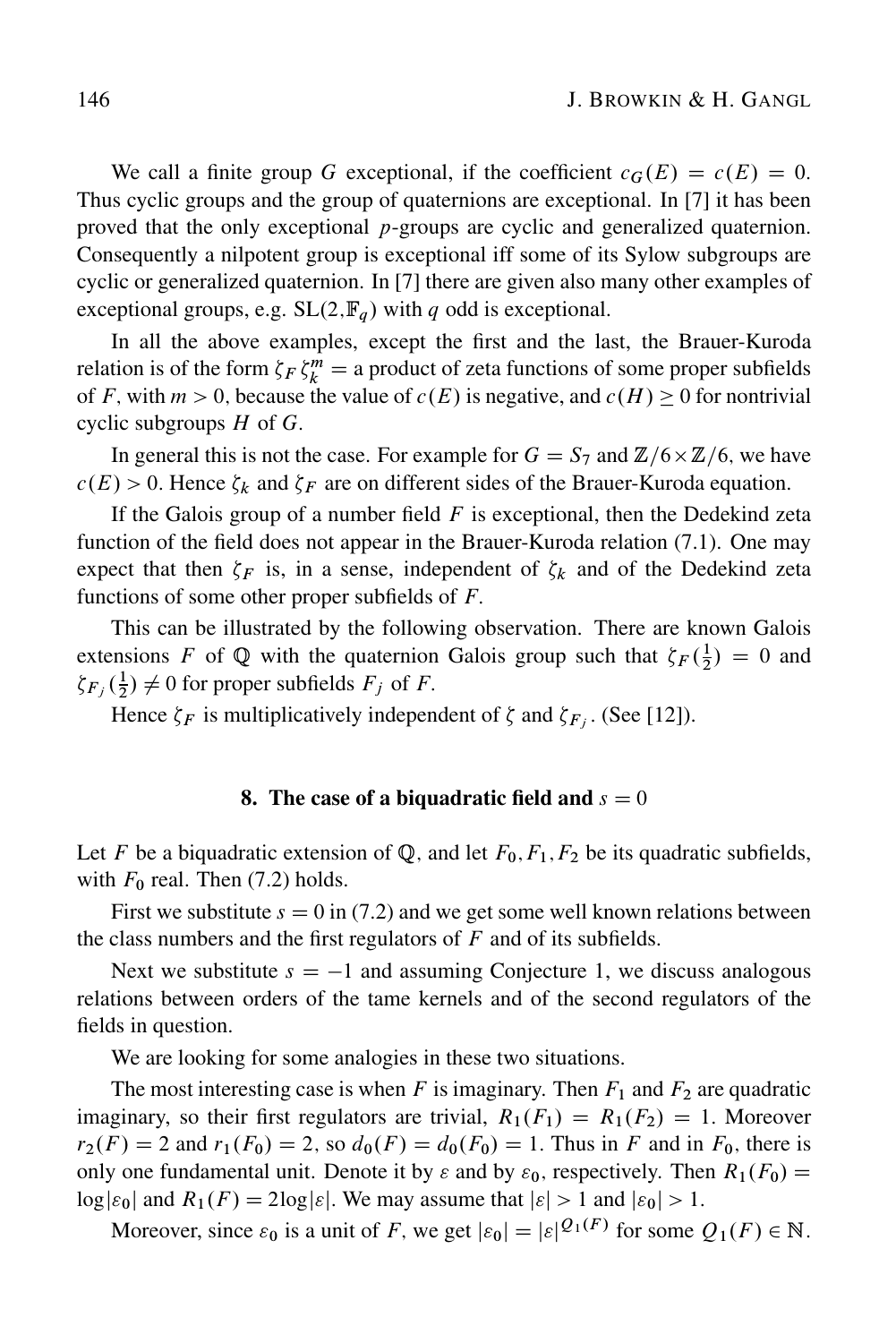We call a finite group G exceptional, if the coefficient  $c_G(E) = c(E) = 0$ . Thus cyclic groups and the group of quaternions are exceptional. In [7] it has been proved that the only exceptional p-groups are cyclic and generalized quaternion. Consequently a nilpotent group is exceptional iff some of its Sylow subgroups are cyclic or generalized quaternion. In [7] there are given also many other examples of exceptional groups, e.g.  $SL(2, \mathbb{F}_q)$  with q odd is exceptional.

In all the above examples, except the first and the last, the Brauer-Kuroda relation is of the form  $\zeta_F \zeta_k^m =$  a product of zeta functions of some proper subfields of F, with  $m > 0$ , because the value of  $c(E)$  is negative, and  $c(H) \ge 0$  for nontrivial cyclic subgroups  $H$  of  $G$ .

In general this is not the case. For example for  $G=S_7$  and  $\mathbb{Z}/6\times\mathbb{Z}/6$ , we have  $c(E) > 0$ . Hence  $\zeta_k$  and  $\zeta_F$  are on different sides of the Brauer-Kuroda equation.

If the Galois group of a number field  $F$  is exceptional, then the Dedekind zeta function of the field does not appear in the Brauer-Kuroda relation (7.1). One may expect that then  $\zeta_F$  is, in a sense, independent of  $\zeta_k$  and of the Dedekind zeta functions of some other proper subfields of  $F$ .

This can be illustrated by the following observation. There are known Galois extensions F of Q with the quaternion Galois group such that  $\zeta_F(\frac{1}{2}) = 0$  and  $\zeta_{F_j}(\frac{1}{2}) \neq 0$  for proper subfields  $F_j$  of F.

Hence  $\zeta_F$  is multiplicatively independent of  $\zeta$  and  $\zeta_{F_j}$ . (See [12]).

#### 8. The case of a biquadratic field and  $s = 0$

Let F be a biquadratic extension of  $\mathbb{Q}$ , and let  $F_0, F_1, F_2$  be its quadratic subfields, with  $F_0$  real. Then (7.2) holds.

First we substitute  $s = 0$  in (7.2) and we get some well known relations between the class numbers and the first regulators of  $F$  and of its subfields.

Next we substitute  $s = -1$  and assuming Conjecture 1, we discuss analogous relations between orders of the tame kernels and of the second regulators of the fields in question.

We are looking for some analogies in these two situations.

The most interesting case is when F is imaginary. Then  $F_1$  and  $F_2$  are quadratic imaginary, so their first regulators are trivial,  $R_1(F_1) = R_1(F_2) = 1$ . Moreover  $r_2(F) = 2$  and  $r_1(F_0) = 2$ , so  $d_0(F) = d_0(F_0) = 1$ . Thus in F and in  $F_0$ , there is only one fundamental unit. Denote it by  $\varepsilon$  and by  $\varepsilon_0$ , respectively. Then  $R_1(F_0)$  =  $\log|\varepsilon_0|$  and  $R_1(F) = 2\log|\varepsilon|$ . We may assume that  $|\varepsilon| > 1$  and  $|\varepsilon_0| > 1$ .

Moreover, since  $\varepsilon_0$  is a unit of F, we get  $|\varepsilon_0| = |\varepsilon|^{Q_1(F)}$  for some  $Q_1(F) \in \mathbb{N}$ .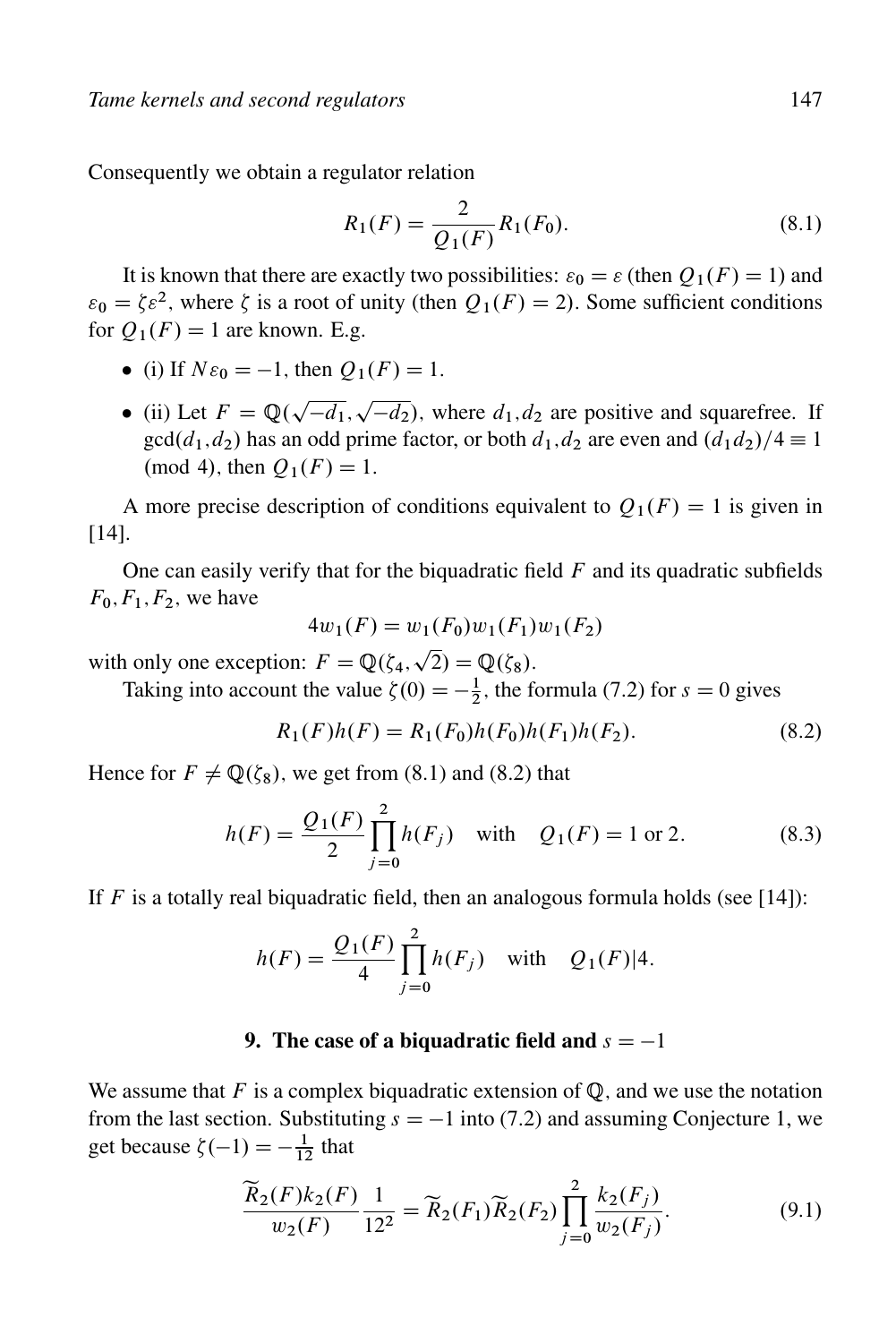Consequently we obtain a regulator relation

$$
R_1(F) = \frac{2}{Q_1(F)} R_1(F_0).
$$
\n(8.1)

It is known that there are exactly two possibilities:  $\varepsilon_0 = \varepsilon$  (then  $Q_1(F) = 1$ ) and  $\varepsilon_0 = \zeta \varepsilon^2$ , where  $\zeta$  is a root of unity (then  $Q_1(F) = 2$ ). Some sufficient conditions for  $Q_1(F) = 1$  are known. E.g.

- (i) If  $N\varepsilon_0 = -1$ , then  $Q_1(F) = 1$ .
- (ii) Let  $F = \mathbb{Q}(\sqrt{-d_1}, \sqrt{-d_2})$ , where  $d_1, d_2$  are positive and squarefree. If  $gcd(d_1, d_2)$  has an odd prime factor, or both  $d_1, d_2$  are even and  $(d_1d_2)/4 \equiv 1$ (mod 4), then  $Q_1(F) = 1$ .

A more precise description of conditions equivalent to  $O_1(F) = 1$  is given in [14].

One can easily verify that for the biquadratic field  $F$  and its quadratic subfields  $F_0, F_1, F_2$ , we have

$$
4w_1(F) = w_1(F_0)w_1(F_1)w_1(F_2)
$$

with only one exception:  $F = \mathbb{Q}(\zeta_4, \sqrt{2}) = \mathbb{Q}(\zeta_8)$ .

Taking into account the value  $\zeta(0) = -\frac{1}{2}$ , the formula (7.2) for  $s = 0$  gives

$$
R_1(F)h(F) = R_1(F_0)h(F_0)h(F_1)h(F_2).
$$
\n(8.2)

Hence for  $F \neq \mathbb{Q}(\zeta_8)$ , we get from (8.1) and (8.2) that

$$
h(F) = \frac{Q_1(F)}{2} \prod_{j=0}^{2} h(F_j) \quad \text{with} \quad Q_1(F) = 1 \text{ or } 2. \tag{8.3}
$$

If F is a totally real biquadratic field, then an analogous formula holds (see [14]):

$$
h(F) = \frac{Q_1(F)}{4} \prod_{j=0}^{2} h(F_j) \text{ with } Q_1(F)|4.
$$

## 9. The case of a biquadratic field and  $s = -1$

We assume that F is a complex biquadratic extension of  $\mathbb{Q}$ , and we use the notation from the last section. Substituting  $s = -1$  into (7.2) and assuming Conjecture 1, we get because  $\zeta(-1) = -\frac{1}{12}$  that

$$
\frac{\widetilde{R}_2(F)k_2(F)}{w_2(F)} \frac{1}{12^2} = \widetilde{R}_2(F_1)\widetilde{R}_2(F_2) \prod_{j=0}^2 \frac{k_2(F_j)}{w_2(F_j)}.
$$
\n(9.1)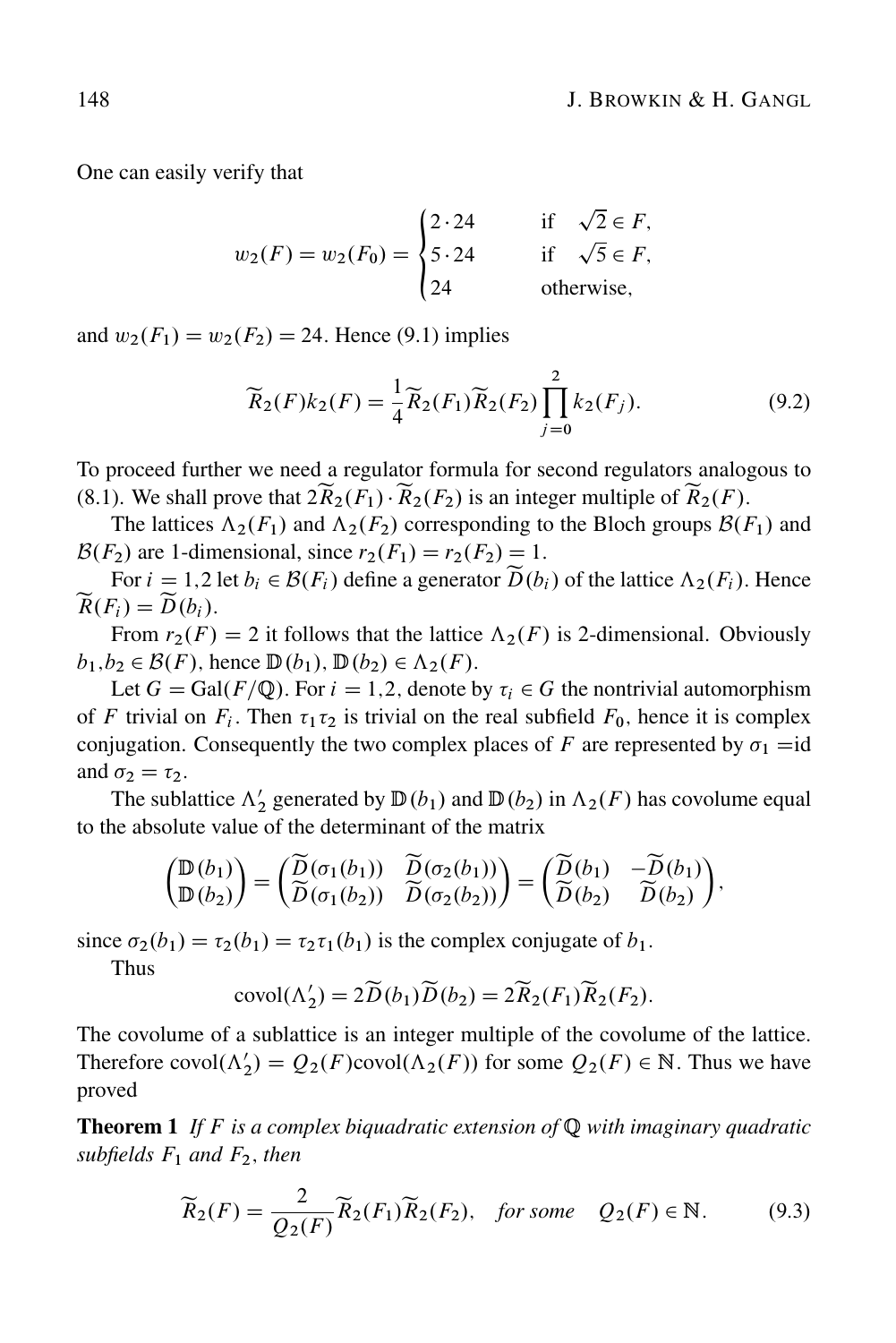One can easily verify that

$$
w_2(F) = w_2(F_0) = \begin{cases} 2 \cdot 24 & \text{if } \sqrt{2} \in F, \\ 5 \cdot 24 & \text{if } \sqrt{5} \in F, \\ 24 & \text{otherwise,} \end{cases}
$$

and  $w_2(F_1) = w_2(F_2) = 24$ . Hence (9.1) implies

$$
\widetilde{R}_2(F)k_2(F) = \frac{1}{4}\widetilde{R}_2(F_1)\widetilde{R}_2(F_2)\prod_{j=0}^2 k_2(F_j). \tag{9.2}
$$

To proceed further we need a regulator formula for second regulators analogous to (8.1). We shall prove that  $2\widetilde{R}_2(F_1) \cdot \widetilde{R}_2(F_2)$  is an integer multiple of  $\widetilde{R}_2(F)$ .

The lattices  $\Lambda_2(F_1)$  and  $\Lambda_2(F_2)$  corresponding to the Bloch groups  $\mathcal{B}(F_1)$  and  $\mathcal{B}(F_2)$  are 1-dimensional, since  $r_2(F_1) = r_2(F_2) = 1$ .

For  $i = 1,2$  let  $b_i \in \mathcal{B}(F_i)$  define a generator  $\widetilde{D}(b_i)$  of the lattice  $\Lambda_2(F_i)$ . Hence  $\widetilde{R}(F_i) = \widetilde{D}(b_i).$ 

From  $r_2(F) = 2$  it follows that the lattice  $\Lambda_2(F)$  is 2-dimensional. Obviously  $b_1, b_2 \in \mathcal{B}(F)$ , hence  $\mathbb{D}(b_1)$ ,  $\mathbb{D}(b_2) \in \Lambda_2(F)$ .

Let  $G = \text{Gal}(F/\mathbb{Q})$ . For  $i = 1,2$ , denote by  $\tau_i \in G$  the nontrivial automorphism of F trivial on  $F_i$ . Then  $\tau_1 \tau_2$  is trivial on the real subfield  $F_0$ , hence it is complex conjugation. Consequently the two complex places of F are represented by  $\sigma_1 = id$ and  $\sigma_2 = \tau_2$ .

The sublattice  $\Lambda'_2$  generated by  $\mathbb{D}(b_1)$  and  $\mathbb{D}(b_2)$  in  $\Lambda_2(F)$  has covolume equal to the absolute value of the determinant of the matrix

$$
\begin{pmatrix} \mathbb{D}(b_1) \\ \mathbb{D}(b_2) \end{pmatrix} = \begin{pmatrix} \widetilde{D}(\sigma_1(b_1)) & \widetilde{D}(\sigma_2(b_1)) \\ \widetilde{D}(\sigma_1(b_2)) & \widetilde{D}(\sigma_2(b_2)) \end{pmatrix} = \begin{pmatrix} \widetilde{D}(b_1) & -\widetilde{D}(b_1) \\ \widetilde{D}(b_2) & \widetilde{D}(b_2) \end{pmatrix},
$$

since  $\sigma_2(b_1) = \tau_2(b_1) = \tau_2\tau_1(b_1)$  is the complex conjugate of  $b_1$ .

Thus

$$
covol(\Lambda_2') = 2\widetilde{D}(b_1)\widetilde{D}(b_2) = 2\widetilde{R}_2(F_1)\widetilde{R}_2(F_2).
$$

The covolume of a sublattice is an integer multiple of the covolume of the lattice. Therefore  $\text{covol}(\Lambda_2') = Q_2(F) \text{covol}(\Lambda_2(F))$  for some  $Q_2(F) \in \mathbb{N}$ . Thus we have proved

Theorem 1 *If* F *is a complex biquadratic extension of* Q *with imaginary quadratic subfields*  $F_1$  *and*  $F_2$ *, then* 

$$
\widetilde{R}_2(F) = \frac{2}{Q_2(F)} \widetilde{R}_2(F_1) \widetilde{R}_2(F_2), \quad \text{for some} \quad Q_2(F) \in \mathbb{N}.
$$
 (9.3)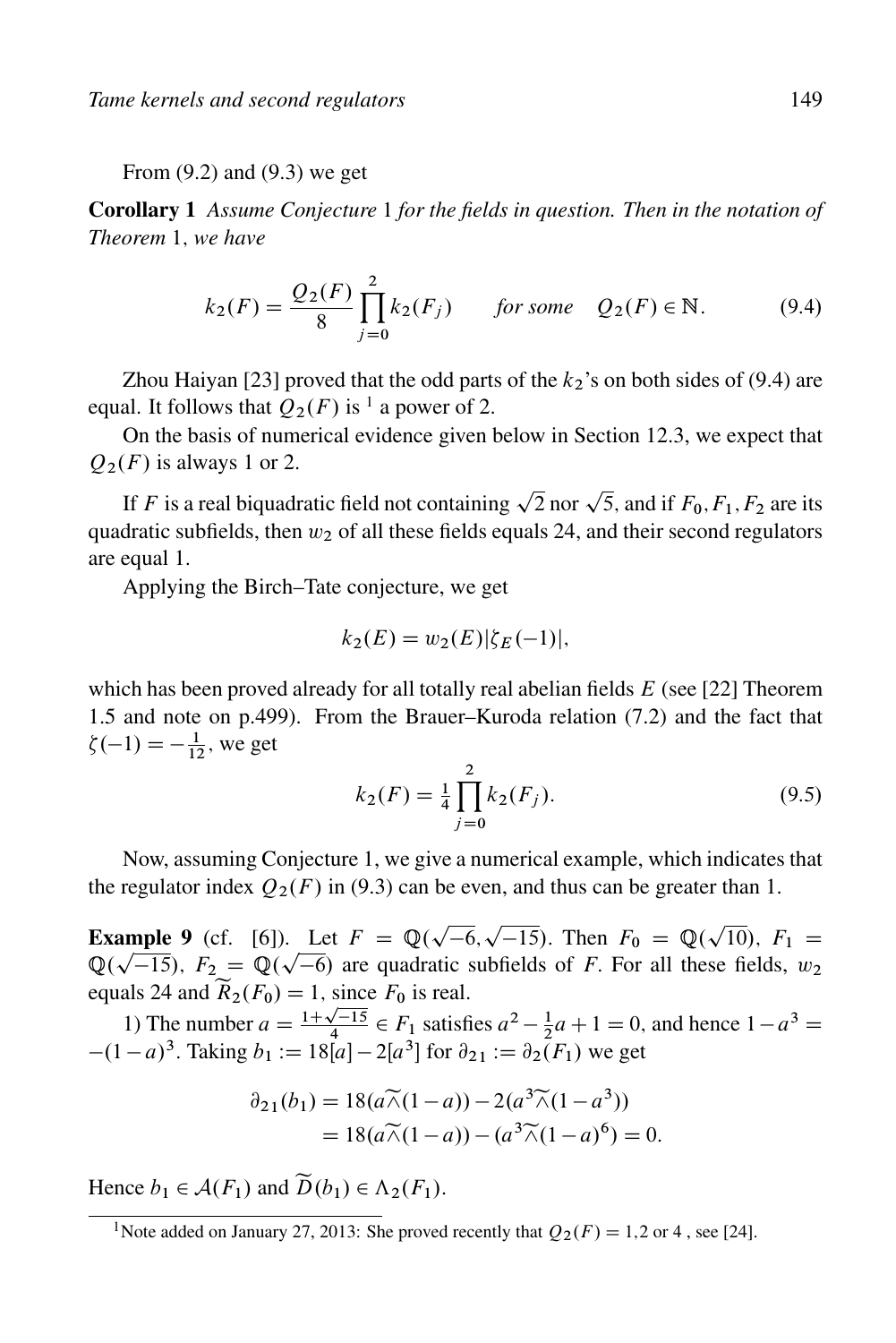From (9.2) and (9.3) we get

Corollary 1 *Assume Conjecture* 1 *for the fields in question. Then in the notation of Theorem* 1; *we have*

$$
k_2(F) = \frac{Q_2(F)}{8} \prod_{j=0}^{2} k_2(F_j) \quad \text{for some} \quad Q_2(F) \in \mathbb{N}.
$$
 (9.4)

Zhou Haiyan [23] proved that the odd parts of the  $k_2$ 's on both sides of (9.4) are equal. It follows that  $Q_2(F)$  is <sup>1</sup> a power of 2.

On the basis of numerical evidence given below in Section 12.3, we expect that  $Q_2(F)$  is always 1 or 2.

If F is a real biquadratic field not containing  $\sqrt{2}$  nor  $\sqrt{5}$ , and if  $F_0, F_1, F_2$  are its quadratic subfields, then  $w_2$  of all these fields equals 24, and their second regulators are equal 1.

Applying the Birch–Tate conjecture, we get

$$
k_2(E) = w_2(E) |\zeta_E(-1)|,
$$

which has been proved already for all totally real abelian fields  $E$  (see [22] Theorem 1.5 and note on p.499). From the Brauer–Kuroda relation (7.2) and the fact that  $\zeta(-1) = -\frac{1}{12}$ , we get

$$
k_2(F) = \frac{1}{4} \prod_{j=0}^{2} k_2(F_j).
$$
 (9.5)

Now, assuming Conjecture 1, we give a numerical example, which indicates that the regulator index  $Q_2(F)$  in (9.3) can be even, and thus can be greater than 1.

**Example 9** (cf. [6]). Let  $F = \mathbb{Q}(\sqrt{-6}, \sqrt{-15})$ . Then  $F_0 = \mathbb{Q}(\sqrt{10})$ ,  $F_1 =$ **Example 9** (cf. [0]). Let  $F = \mathbb{Q}(\sqrt{-0}, \sqrt{-15})$ . Then  $F_0 = \mathbb{Q}(\sqrt{10})$ ,  $F_1 = \mathbb{Q}(\sqrt{-15})$ ,  $F_2 = \mathbb{Q}(\sqrt{-6})$  are quadratic subfields of *F*. For all these fields,  $w_2$ equals 24 and  $\widetilde{R}_2(F_0) = 1$ , since  $F_0$  is real.

1) The number  $a = \frac{1+\sqrt{-15}}{4} \in F_1$  satisfies  $a^2 - \frac{1}{2}a + 1 = 0$ , and hence  $1 - a^3 =$  $-(1 - a)^3$ . Taking  $b_1 := 18[a] - 2[a^3]$  for  $\partial_{21} := \partial_2(F_1)$  we get

$$
\partial_{21}(b_1) = 18(a\widetilde{\wedge}(1-a)) - 2(a^3\widetilde{\wedge}(1-a^3))
$$
  
=  $18(a\widetilde{\wedge}(1-a)) - (a^3\widetilde{\wedge}(1-a)^6) = 0.$ 

Hence  $b_1 \in \mathcal{A}(F_1)$  and  $\widetilde{D}(b_1) \in \Lambda_2(F_1)$ .

<sup>&</sup>lt;sup>1</sup>Note added on January 27, 2013: She proved recently that  $Q_2(F) = 1,2$  or 4, see [24].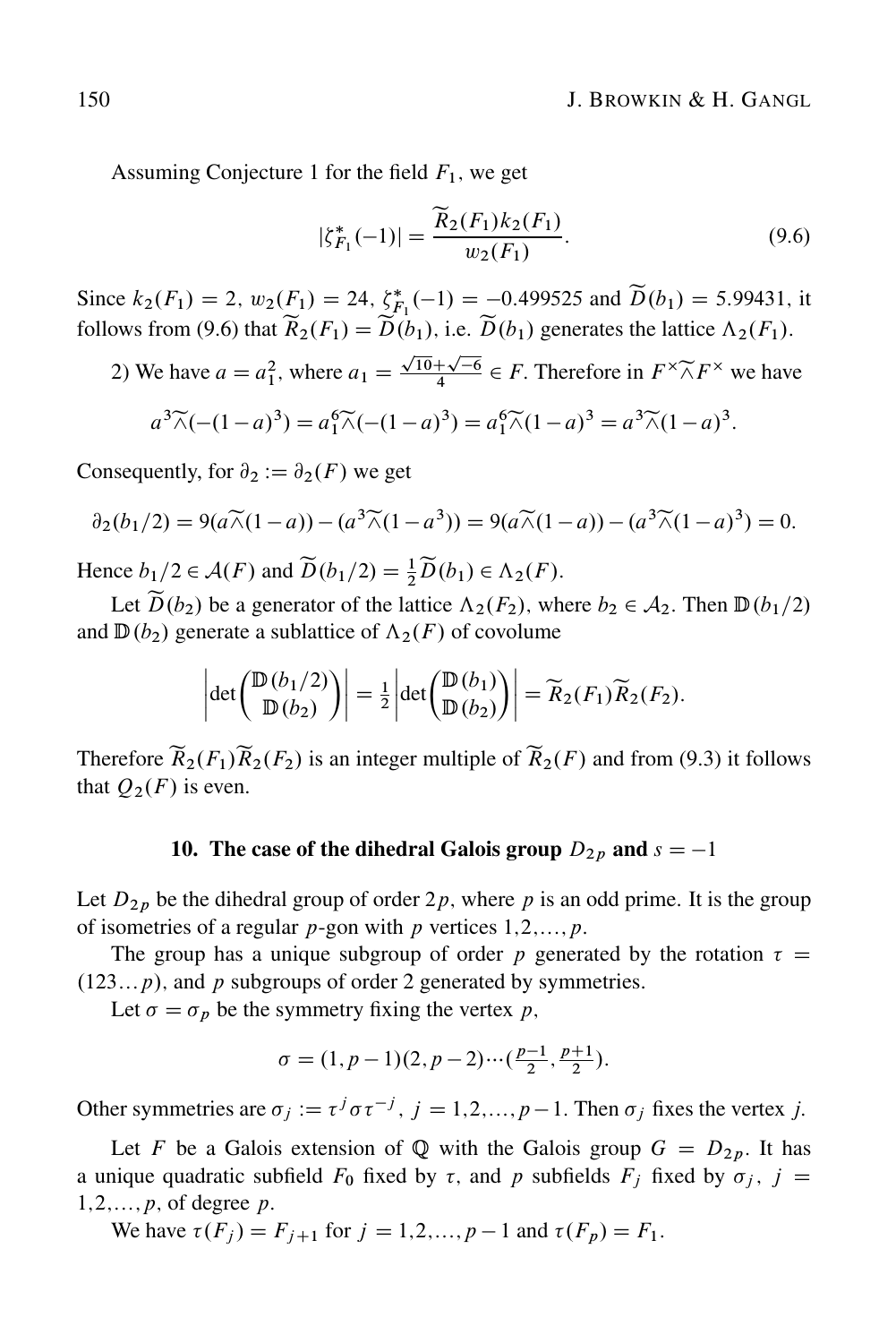Assuming Conjecture 1 for the field  $F_1$ , we get

$$
|\zeta_{F_1}^*(-1)| = \frac{\widetilde{R}_2(F_1)k_2(F_1)}{w_2(F_1)}.
$$
\n(9.6)

Since  $k_2(F_1) = 2$ ,  $w_2(F_1) = 24$ ,  $\zeta_{F_1}^*(-1) = -0.499525$  and  $\tilde{D}(b_1) = 5.99431$ , it follows from (9.6) that  $\widetilde{R}_2(F_1) = \widetilde{D}(b_1)$ , i.e.  $\widetilde{D}(b_1)$  generates the lattice  $\Lambda_2(F_1)$ .

2) We have  $a = a_1^2$ , where  $a_1 = \frac{\sqrt{10} + \sqrt{-6}}{4} \in F$ . Therefore in  $F^{\times} \tilde{\wedge} F^{\times}$  we have

$$
a^{3}\widetilde{\wedge}(-(1-a)^{3}) = a_{1}^{6}\widetilde{\wedge}(-(1-a)^{3}) = a_{1}^{6}\widetilde{\wedge}(1-a)^{3} = a^{3}\widetilde{\wedge}(1-a)^{3}.
$$

Consequently, for  $\partial_2 := \partial_2(F)$  we get

$$
\partial_2(b_1/2) = 9(a\widetilde{\wedge}(1-a)) - (a^3\widetilde{\wedge}(1-a^3)) = 9(a\widetilde{\wedge}(1-a)) - (a^3\widetilde{\wedge}(1-a)^3) = 0.
$$

Hence  $b_1/2 \in \mathcal{A}(F)$  and  $\widetilde{D}(b_1/2) = \frac{1}{2}\widetilde{D}(b_1) \in \Lambda_2(F)$ .

Let  $\widetilde{D}(b_2)$  be a generator of the lattice  $\Lambda_2(F_2)$ , where  $b_2 \in \mathcal{A}_2$ . Then  $\mathbb{D}(b_1/2)$ and  $\mathbb{D}(b_2)$  generate a sublattice of  $\Lambda_2(F)$  of covolume

$$
\left|\det\begin{pmatrix} \mathbb{D}(b_1/2) \\ \mathbb{D}(b_2) \end{pmatrix}\right| = \frac{1}{2} \left|\det\begin{pmatrix} \mathbb{D}(b_1) \\ \mathbb{D}(b_2) \end{pmatrix}\right| = \widetilde{R}_2(F_1)\widetilde{R}_2(F_2).
$$

Therefore  $\widetilde{R}_2(F_1)\widetilde{R}_2(F_2)$  is an integer multiple of  $\widetilde{R}_2(F)$  and from (9.3) it follows that  $O_2(F)$  is even.

### 10. The case of the dihedral Galois group  $D_{2p}$  and  $s = -1$

Let  $D_{2p}$  be the dihedral group of order  $2p$ , where p is an odd prime. It is the group of isometries of a regular  $p$ -gon with  $p$  vertices  $1,2,\ldots,p$ .

The group has a unique subgroup of order p generated by the rotation  $\tau =$  $(123...p)$ , and p subgroups of order 2 generated by symmetries.

Let  $\sigma = \sigma_p$  be the symmetry fixing the vertex p,

$$
\sigma = (1, p - 1)(2, p - 2) \cdots (\frac{p - 1}{2}, \frac{p + 1}{2}).
$$

Other symmetries are  $\sigma_j := \tau^j \sigma \tau^{-j}$ ,  $j = 1, 2, ..., p - 1$ . Then  $\sigma_j$  fixes the vertex j.

Let F be a Galois extension of Q with the Galois group  $G = D_{2p}$ . It has a unique quadratic subfield  $F_0$  fixed by  $\tau$ , and p subfields  $F_j$  fixed by  $\sigma_j$ ,  $j =$  $1,2,\ldots,p$ , of degree p.

We have  $\tau(F_j) = F_{j+1}$  for  $j = 1,2,...,p-1$  and  $\tau(F_p) = F_1$ .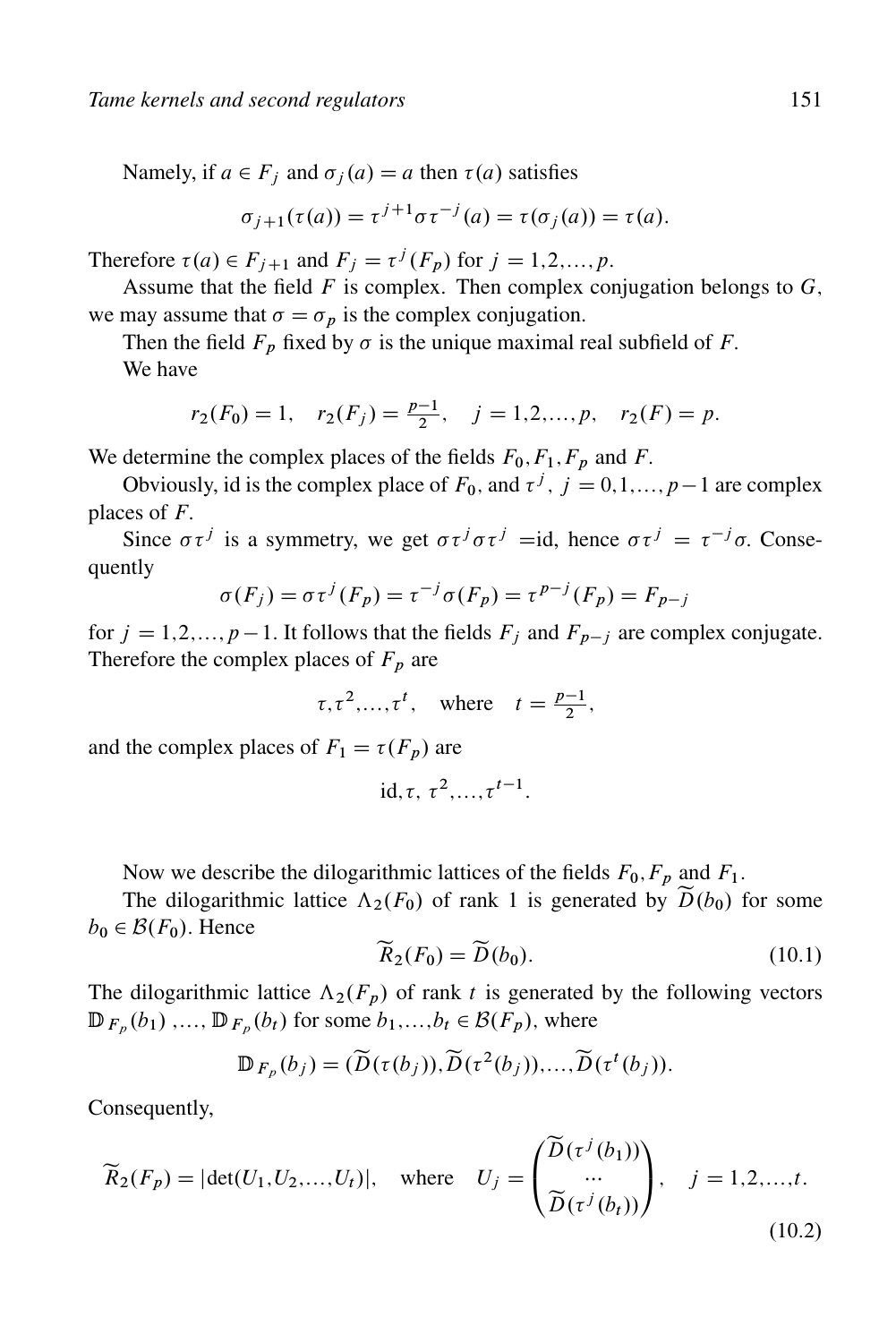Namely, if  $a \in F_i$  and  $\sigma_i(a) = a$  then  $\tau(a)$  satisfies

$$
\sigma_{j+1}(\tau(a)) = \tau^{j+1}\sigma\tau^{-j}(a) = \tau(\sigma_j(a)) = \tau(a).
$$

Therefore  $\tau(a) \in F_{j+1}$  and  $F_j = \tau^j(F_p)$  for  $j = 1,2,...,p$ .

Assume that the field  $F$  is complex. Then complex conjugation belongs to  $G$ , we may assume that  $\sigma = \sigma_p$  is the complex conjugation.

Then the field  $F_p$  fixed by  $\sigma$  is the unique maximal real subfield of F. We have

$$
r_2(F_0) = 1
$$
,  $r_2(F_j) = \frac{p-1}{2}$ ,  $j = 1, 2, ..., p$ ,  $r_2(F) = p$ .

We determine the complex places of the fields  $F_0, F_1, F_p$  and F.

Obviously, id is the complex place of  $F_0$ , and  $\tau^j$ ,  $j = 0,1,...,p-1$  are complex places of  $F$ .

Since  $\sigma \tau^j$  is a symmetry, we get  $\sigma \tau^j \sigma \tau^j = id$ , hence  $\sigma \tau^j = \tau^{-j} \sigma$ . Consequently

$$
\sigma(F_j) = \sigma \tau^j(F_p) = \tau^{-j} \sigma(F_p) = \tau^{p-j}(F_p) = F_{p-j}
$$

for  $j = 1, 2, ..., p - 1$ . It follows that the fields  $F_j$  and  $F_{p-j}$  are complex conjugate. Therefore the complex places of  $F_p$  are

 $\tau, \tau^2, \ldots, \tau^t$ , where  $t = \frac{p-1}{2}$ ,

and the complex places of  $F_1 = \tau(F_p)$  are

$$
id, \tau, \tau^2, \ldots, \tau^{t-1}.
$$

Now we describe the dilogarithmic lattices of the fields  $F_0, F_p$  and  $F_1$ .

The dilogarithmic lattice  $\Lambda_2(F_0)$  of rank 1 is generated by  $\tilde{D}(b_0)$  for some  $b_0 \in \mathcal{B}(F_0)$ . Hence

$$
\widetilde{R}_2(F_0) = \widetilde{D}(b_0). \tag{10.1}
$$

The dilogarithmic lattice  $\Lambda_2(F_p)$  of rank t is generated by the following vectors  $\mathbb{D}_{F_p}(b_1)$ ,...,  $\mathbb{D}_{F_p}(b_t)$  for some  $b_1,...,b_t \in \mathcal{B}(F_p)$ , where

$$
\mathbb{D}_{F_p}(b_j)=(\widetilde{D}(\tau(b_j)),\widetilde{D}(\tau^2(b_j)),\ldots,\widetilde{D}(\tau^t(b_j)).
$$

Consequently,

$$
\widetilde{R}_2(F_p) = |\det(U_1, U_2, \dots, U_t)|, \quad \text{where} \quad U_j = \begin{pmatrix} \widetilde{D}(\tau^j(b_1)) \\ \cdots \\ \widetilde{D}(\tau^j(b_t)) \end{pmatrix}, \quad j = 1, 2, \dots, t.
$$
\n(10.2)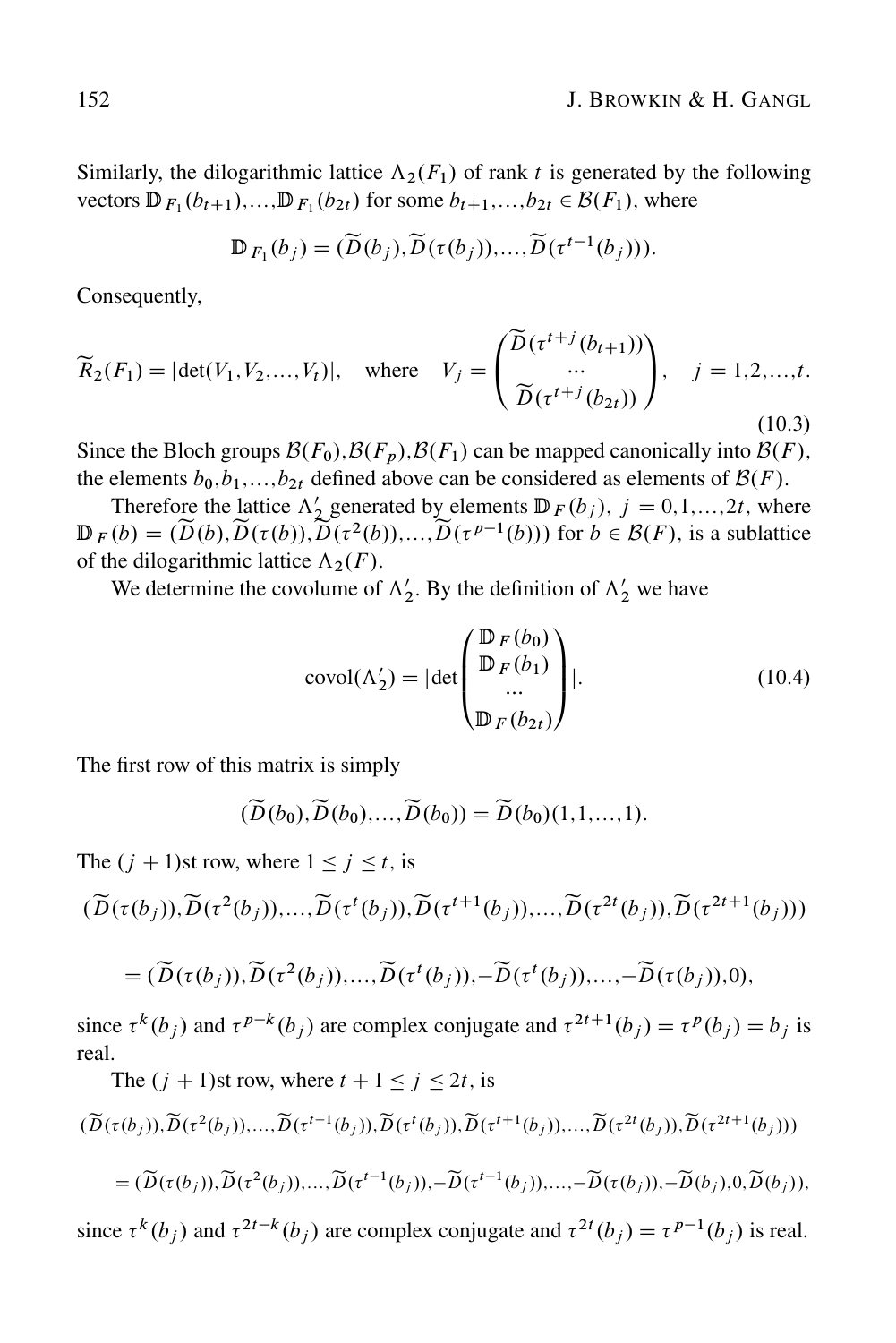Similarly, the dilogarithmic lattice  $\Lambda_2(F_1)$  of rank t is generated by the following vectors  $\mathbb{D}_{F_1}(b_{t+1}),...,\mathbb{D}_{F_1}(b_{2t})$  for some  $b_{t+1},...,b_{2t} \in \mathcal{B}(F_1)$ , where

$$
\mathbb{D}_{F_1}(b_j)=(\widetilde{D}(b_j),\widetilde{D}(\tau(b_j)),\ldots,\widetilde{D}(\tau^{t-1}(b_j))).
$$

Consequently,

$$
\widetilde{R}_2(F_1) = |\det(V_1, V_2, \dots, V_t)|, \quad \text{where} \quad V_j = \begin{pmatrix} \widetilde{D}(\tau^{t+j}(b_{t+1})) \\ \dots \\ \widetilde{D}(\tau^{t+j}(b_{2t})) \end{pmatrix}, \quad j = 1, 2, \dots, t.
$$
\n(10.3)

Since the Bloch groups  $\mathcal{B}(F_0), \mathcal{B}(F_p), \mathcal{B}(F_1)$  can be mapped canonically into  $\mathcal{B}(F)$ , the elements  $b_0$ ,  $b_1$ ,...,  $b_{2t}$  defined above can be considered as elements of  $\mathcal{B}(F)$ .

Therefore the lattice  $\Lambda'_2$  generated by elements  $\mathbb{D}_F(b_j)$ ,  $j = 0, 1, ..., 2t$ , where  $\mathbb{D}_F(b) = (\widetilde{D}(b), \widetilde{D}(\tau(b)), \widetilde{D}(\tau^2(b)), \ldots, \widetilde{D}(\tau^{p-1}(b)))$  for  $b \in \mathcal{B}(F)$ , is a sublattice of the dilogarithmic lattice  $\Lambda_2(F)$ .

We determine the covolume of  $\Lambda'_2$ . By the definition of  $\Lambda'_2$  we have

$$
covol(\Lambda_2') = |\det \begin{pmatrix} \mathbb{D}_F(b_0) \\ \mathbb{D}_F(b_1) \\ \dots \\ \mathbb{D}_F(b_{2t}) \end{pmatrix} |.
$$
 (10.4)

The first row of this matrix is simply

$$
(\widetilde{D}(b_0), \widetilde{D}(b_0), \ldots, \widetilde{D}(b_0)) = \widetilde{D}(b_0)(1, 1, \ldots, 1).
$$

The  $(j + 1)$ st row, where  $1 \le j \le t$ , is

The  $(j + 1)$ st row, where  $t + 1 \le j \le 2t$ , is

$$
(\widetilde{D}(\tau(b_j)), \widetilde{D}(\tau^2(b_j)), \ldots, \widetilde{D}(\tau^t(b_j)), \widetilde{D}(\tau^{t+1}(b_j)), \ldots, \widetilde{D}(\tau^{2t}(b_j)), \widetilde{D}(\tau^{2t+1}(b_j)))
$$

$$
= (\widetilde{D}(\tau(b_j)), \widetilde{D}(\tau^2(b_j)),..., \widetilde{D}(\tau^t(b_j)), -\widetilde{D}(\tau^t(b_j)),..., -\widetilde{D}(\tau(b_j)),0),
$$

since  $\tau^k(b_j)$  and  $\tau^{p-k}(b_j)$  are complex conjugate and  $\tau^{2t+1}(b_j) = \tau^p(b_j) = b_j$  is real.

$$
(\widetilde{D}(\tau(b_j)), \widetilde{D}(\tau^2(b_j)), \dots, \widetilde{D}(\tau^{t-1}(b_j)), \widetilde{D}(\tau^t(b_j)), \widetilde{D}(\tau^{t+1}(b_j)), \dots, \widetilde{D}(\tau^{2t}(b_j)), \widetilde{D}(\tau^{2t+1}(b_j)))
$$
  
= 
$$
(\widetilde{D}(\tau(b_j)), \widetilde{D}(\tau^2(b_j)), \dots, \widetilde{D}(\tau^{t-1}(b_j)), -\widetilde{D}(\tau^{t-1}(b_j)), \dots, -\widetilde{D}(\tau(b_j)), -\widetilde{D}(b_j), 0, \widetilde{D}(b_j)),
$$

since  $\tau^k(b_j)$  and  $\tau^{2t-k}(b_j)$  are complex conjugate and  $\tau^{2t}(b_j) = \tau^{p-1}(b_j)$  is real.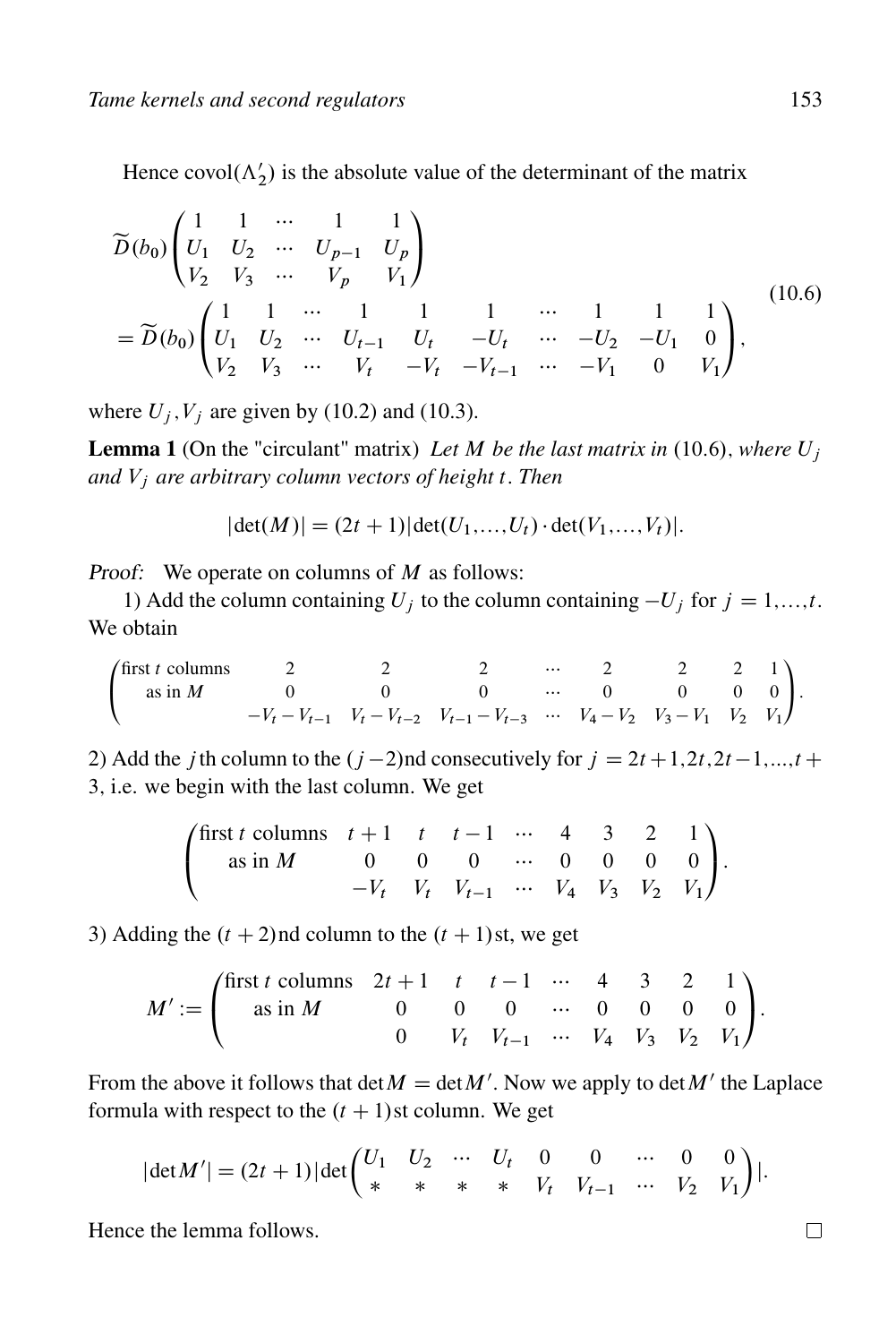Hence covol $(\Lambda'_2)$  is the absolute value of the determinant of the matrix

$$
\widetilde{D}(b_0) \begin{pmatrix}\n1 & 1 & \cdots & 1 & 1 \\
U_1 & U_2 & \cdots & U_{p-1} & U_p \\
V_2 & V_3 & \cdots & V_p & V_1\n\end{pmatrix}
$$
\n
$$
= \widetilde{D}(b_0) \begin{pmatrix}\n1 & 1 & \cdots & 1 & 1 & 1 & \cdots & 1 & 1 & 1 \\
U_1 & U_2 & \cdots & U_{t-1} & U_t & -U_t & \cdots & -U_2 & -U_1 & 0 \\
V_2 & V_3 & \cdots & V_t & -V_t & -V_{t-1} & \cdots & -V_1 & 0 & V_1\n\end{pmatrix},
$$
\n(10.6)

where  $U_i$ ,  $V_i$  are given by (10.2) and (10.3).

**Lemma 1** (On the "circulant" matrix) Let M be the last matrix in  $(10.6)$ , where  $U_i$ *and* V<sup>j</sup> *are arbitrary column vectors of height* t: *Then*

$$
|\det(M)| = (2t+1)|\det(U_1,...,U_t) \cdot \det(V_1,...,V_t)|.
$$

Proof: We operate on columns of  $M$  as follows:

1) Add the column containing  $U_i$  to the column containing  $-U_j$  for  $j = 1,...,t$ . We obtain

 $\overline{1}$  $\mathbf{I}$ first *t* columns  $\begin{array}{ccccccccc} & 2 & & 2 & & \cdots & 2 & & 2 & 1 \end{array}$ as in M0 0 0 0 0 00  $-V_t - V_{t-1}$   $V_t - V_{t-2}$   $V_{t-1} - V_{t-3}$   $\cdots$   $V_4 - V_2$   $V_3 - V_1$   $V_2$   $V_1$  $\sqrt{2}$  $\cdot$ 

2) Add the *j* th column to the  $(j-2)$ nd consecutively for  $j = 2t + 1, 2t, 2t - 1, ..., t + 1$ 3; i.e. we begin with the last column. We get

$$
\begin{pmatrix}\n\text{first } t \text{ columns } & t+1 & t & t-1 & \cdots & 4 & 3 & 2 & 1 \\
\text{as in } M & 0 & 0 & 0 & \cdots & 0 & 0 & 0 & 0 \\
& -V_t & V_t & V_{t-1} & \cdots & V_4 & V_3 & V_2 & V_1\n\end{pmatrix}.
$$

3) Adding the  $(t + 2)$ nd column to the  $(t + 1)$ st, we get

$$
M' := \begin{pmatrix} \text{first } t & \text{columns} & 2t + 1 & t & t - 1 & \cdots & 4 & 3 & 2 & 1 \\ & \text{as in } M & & 0 & 0 & 0 & \cdots & 0 & 0 & 0 & 0 \\ & & & 0 & & V_t & V_{t-1} & \cdots & V_4 & V_3 & V_2 & V_1 \end{pmatrix}.
$$

From the above it follows that  $\det M = \det M'$ . Now we apply to  $\det M'$  the Laplace formula with respect to the  $(t + 1)$ st column. We get

$$
|\det M'| = (2t+1)|\det\begin{pmatrix} U_1 & U_2 & \cdots & U_t & 0 & 0 & \cdots & 0 & 0 \\ * & * & * & * & V_t & V_{t-1} & \cdots & V_2 & V_1 \end{pmatrix}|.
$$

Hence the lemma follows.

 $\Box$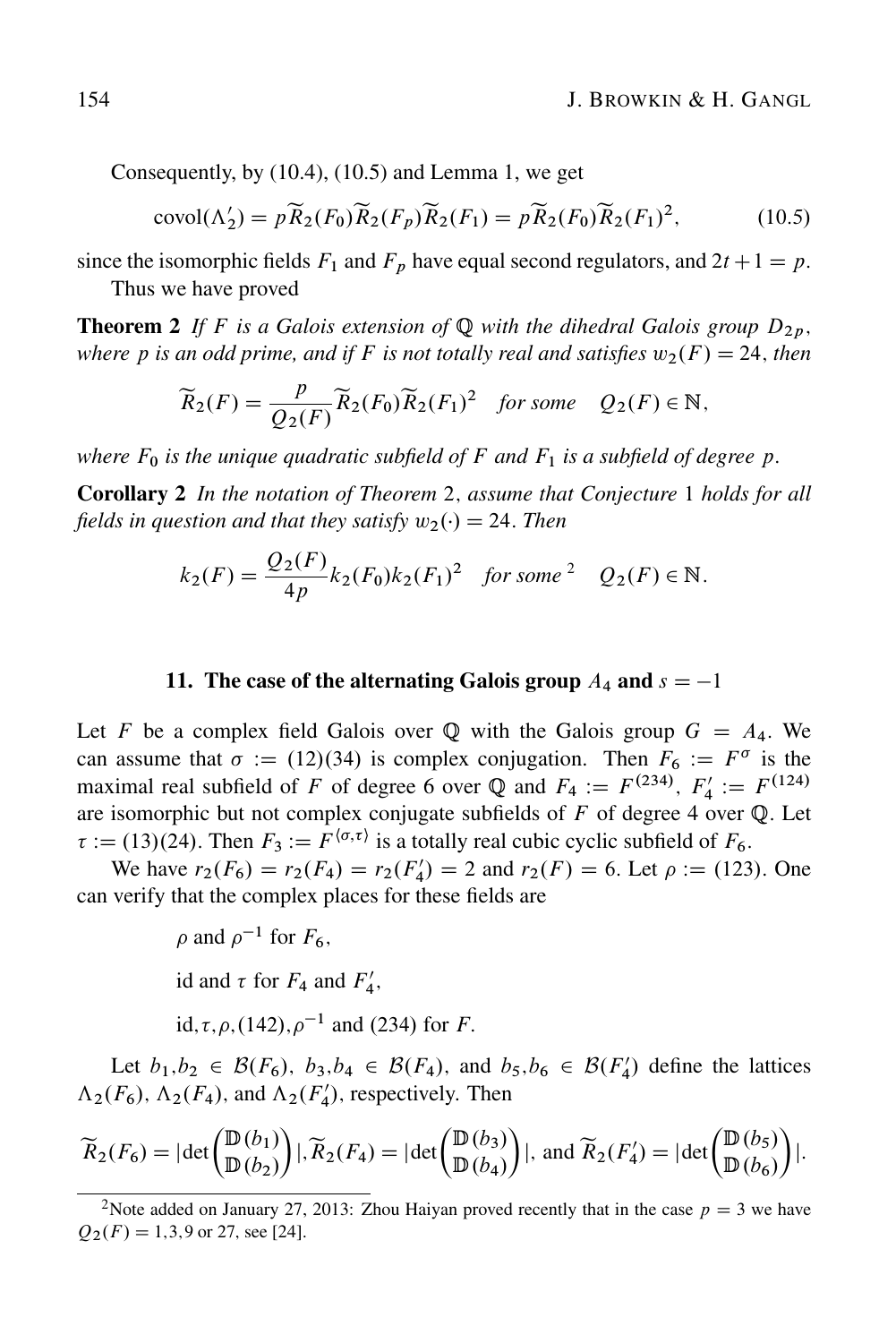Consequently, by (10.4), (10.5) and Lemma 1, we get

$$
covol(\Lambda_2') = p\widetilde{R}_2(F_0)\widetilde{R}_2(F_p)\widetilde{R}_2(F_1) = p\widetilde{R}_2(F_0)\widetilde{R}_2(F_1)^2,\tag{10.5}
$$

since the isomorphic fields  $F_1$  and  $F_p$  have equal second regulators, and  $2t + 1 = p$ .

Thus we have proved

**Theorem 2** If F is a Galois extension of Q with the dihedral Galois group  $D_{2p}$ , *where p is an odd prime, and if F is not totally real and satisfies*  $w_2(F) = 24$ *, then* 

$$
\widetilde{R}_2(F) = \frac{p}{Q_2(F)} \widetilde{R}_2(F_0) \widetilde{R}_2(F_1)^2 \quad \text{for some} \quad Q_2(F) \in \mathbb{N},
$$

*where*  $F_0$  *is the unique quadratic subfield of*  $F$  *and*  $F_1$  *is a subfield of degree*  $p$ *.* 

Corollary 2 *In the notation of Theorem* 2; *assume that Conjecture* 1 *holds for all fields in question and that they satisfy*  $w_2(\cdot) = 24$ . *Then* 

$$
k_2(F) = \frac{Q_2(F)}{4p} k_2(F_0) k_2(F_1)^2 \quad \text{for some } 2 \quad Q_2(F) \in \mathbb{N}.
$$

### 11. The case of the alternating Galois group  $A_4$  and  $s = -1$

Let F be a complex field Galois over Q with the Galois group  $G = A_4$ . We can assume that  $\sigma := (12)(34)$  is complex conjugation. Then  $F_6 := F^{\sigma}$  is the maximal real subfield of F of degree 6 over Q and  $F_4 := F^{(234)}$ ,  $F'_4 := F^{(124)}$ are isomorphic but not complex conjugate subfields of  $F$  of degree 4 over  $Q$ . Let  $\tau := (13)(24)$ . Then  $F_3 := F^{\langle \sigma, \tau \rangle}$  is a totally real cubic cyclic subfield of  $F_6$ .

We have  $r_2(F_6) = r_2(F_4) = r_2(F_4') = 2$  and  $r_2(F) = 6$ . Let  $\rho := (123)$ . One can verify that the complex places for these fields are

$$
\rho
$$
 and  $\rho^{-1}$  for  $F_6$ ,  
id and  $\tau$  for  $F_4$  and  $F'_4$ ,  
id,  $\tau$ ,  $\rho$ , (142),  $\rho^{-1}$  and (234) for  $F$ .

Let  $b_1, b_2 \in \mathcal{B}(F_6)$ ,  $b_3, b_4 \in \mathcal{B}(F_4)$ , and  $b_5, b_6 \in \mathcal{B}(F_4')$  define the lattices  $\Lambda_2(F_6)$ ,  $\Lambda_2(F_4)$ , and  $\Lambda_2(F'_4)$ , respectively. Then

$$
\widetilde{R}_2(F_6) = |\det\begin{pmatrix} \mathbb{D}(b_1) \\ \mathbb{D}(b_2) \end{pmatrix}|, \widetilde{R}_2(F_4) = |\det\begin{pmatrix} \mathbb{D}(b_3) \\ \mathbb{D}(b_4) \end{pmatrix}|, \text{ and } \widetilde{R}_2(F_4') = |\det\begin{pmatrix} \mathbb{D}(b_5) \\ \mathbb{D}(b_6) \end{pmatrix}|.
$$

<sup>&</sup>lt;sup>2</sup>Note added on January 27, 2013: Zhou Haiyan proved recently that in the case  $p = 3$  we have  $Q_2(F) = 1,3,9$  or 27, see [24].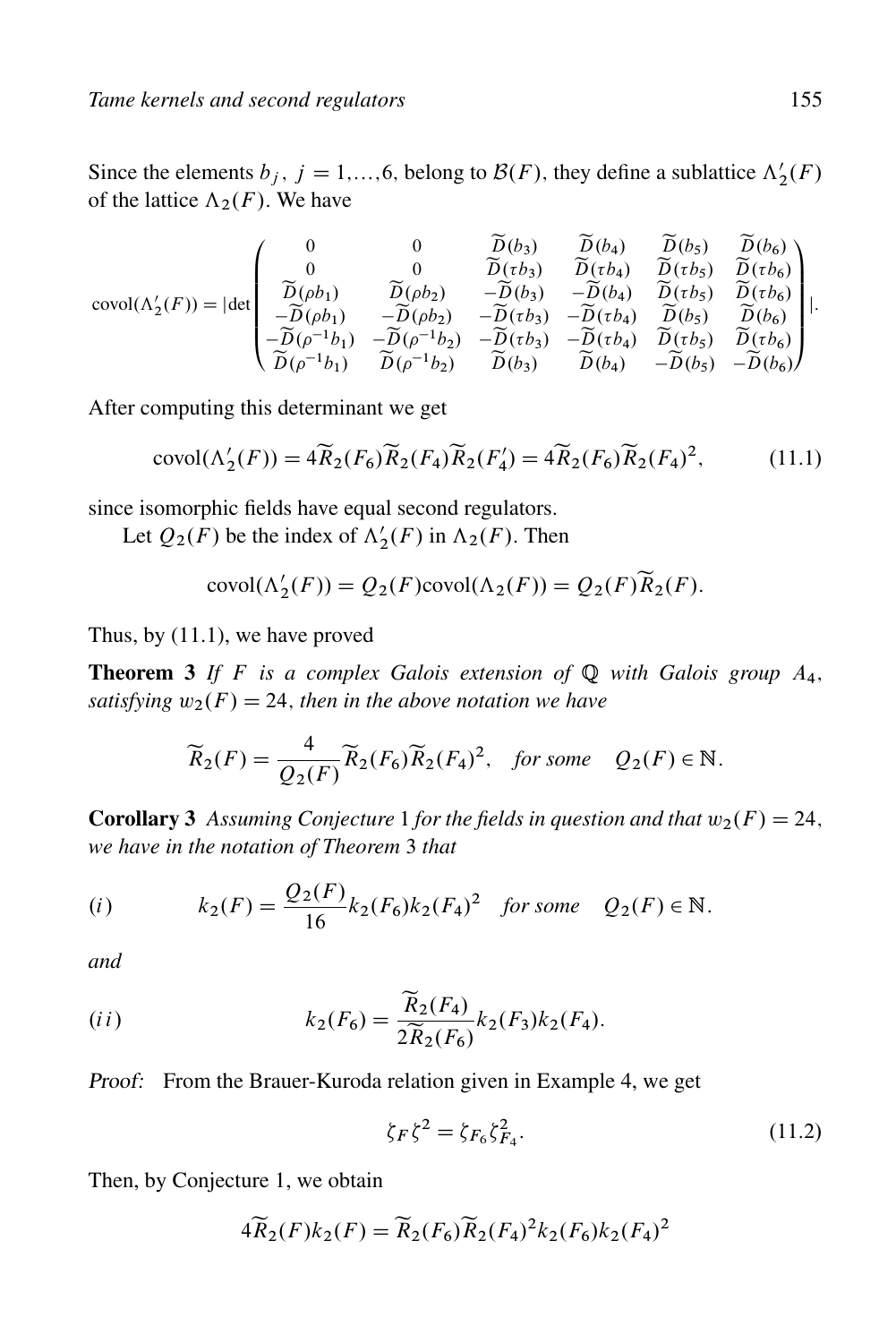Since the elements  $b_j$ ,  $j = 1,...,6$ , belong to  $\mathcal{B}(F)$ , they define a sublattice  $\Lambda'_2(F)$ of the lattice  $\Lambda_2(F)$ . We have

$$
\text{covol}(\Lambda_2'(F)) = |\det\begin{pmatrix} 0 & 0 & \widetilde{D}(b_3) & \widetilde{D}(b_4) & \widetilde{D}(b_5) & \widetilde{D}(b_6) \\ 0 & 0 & \widetilde{D}(\tau b_3) & \widetilde{D}(\tau b_4) & \widetilde{D}(\tau b_5) & \widetilde{D}(\tau b_6) \\ \widetilde{D}(\rho b_1) & \widetilde{D}(\rho b_2) & -\widetilde{D}(b_3) & -\widetilde{D}(b_4) & \widetilde{D}(\tau b_5) & \widetilde{D}(\tau b_6) \\ -\widetilde{D}(\rho b_1) & -\widetilde{D}(\rho b_2) & -\widetilde{D}(\tau b_3) & -\widetilde{D}(\tau b_4) & \widetilde{D}(b_5) & \widetilde{D}(b_6) \\ -\widetilde{D}(\rho^{-1} b_1) & -\widetilde{D}(\rho^{-1} b_2) & -\widetilde{D}(\tau b_3) & -\widetilde{D}(\tau b_4) & \widetilde{D}(\tau b_5) & \widetilde{D}(\tau b_6) \\ \widetilde{D}(\rho^{-1} b_1) & \widetilde{D}(\rho^{-1} b_2) & \widetilde{D}(b_3) & \widetilde{D}(b_4) & -\widetilde{D}(b_5) & -\widetilde{D}(b_6) \end{pmatrix}|.
$$

After computing this determinant we get

$$
\text{covol}(\Lambda_2'(F)) = 4\widetilde{R}_2(F_6)\widetilde{R}_2(F_4)\widetilde{R}_2(F_4') = 4\widetilde{R}_2(F_6)\widetilde{R}_2(F_4)^2,\tag{11.1}
$$

since isomorphic fields have equal second regulators.

Let  $Q_2(F)$  be the index of  $\Lambda'_2(F)$  in  $\Lambda_2(F)$ . Then

$$
covol(\Lambda_2'(F)) = Q_2(F)covol(\Lambda_2(F)) = Q_2(F)\widetilde{R}_2(F).
$$

Thus, by (11.1), we have proved

**Theorem 3** If F is a complex Galois extension of  $\mathbb Q$  with Galois group  $A_4$ , *satisfying*  $w_2(F) = 24$ *, then in the above notation we have* 

$$
\widetilde{R}_2(F) = \frac{4}{Q_2(F)} \widetilde{R}_2(F_6) \widetilde{R}_2(F_4)^2, \quad \text{for some} \quad Q_2(F) \in \mathbb{N}.
$$

**Corollary 3** Assuming Conjecture 1 for the fields in question and that  $w_2(F) = 24$ , *we have in the notation of Theorem* 3 *that*

(i) 
$$
k_2(F) = \frac{Q_2(F)}{16} k_2(F_6) k_2(F_4)^2
$$
 for some  $Q_2(F) \in \mathbb{N}$ .

*and*

$$
(ii) \t k_2(F_6) = \frac{\tilde{R}_2(F_4)}{2\tilde{R}_2(F_6)}k_2(F_3)k_2(F_4).
$$

Proof: From the Brauer-Kuroda relation given in Example 4, we get

$$
\zeta_F \zeta^2 = \zeta_{F_6} \zeta_{F_4}^2. \tag{11.2}
$$

Then, by Conjecture 1, we obtain

$$
4\widetilde{R}_2(F)k_2(F) = \widetilde{R}_2(F_6)\widetilde{R}_2(F_4)^2k_2(F_6)k_2(F_4)^2
$$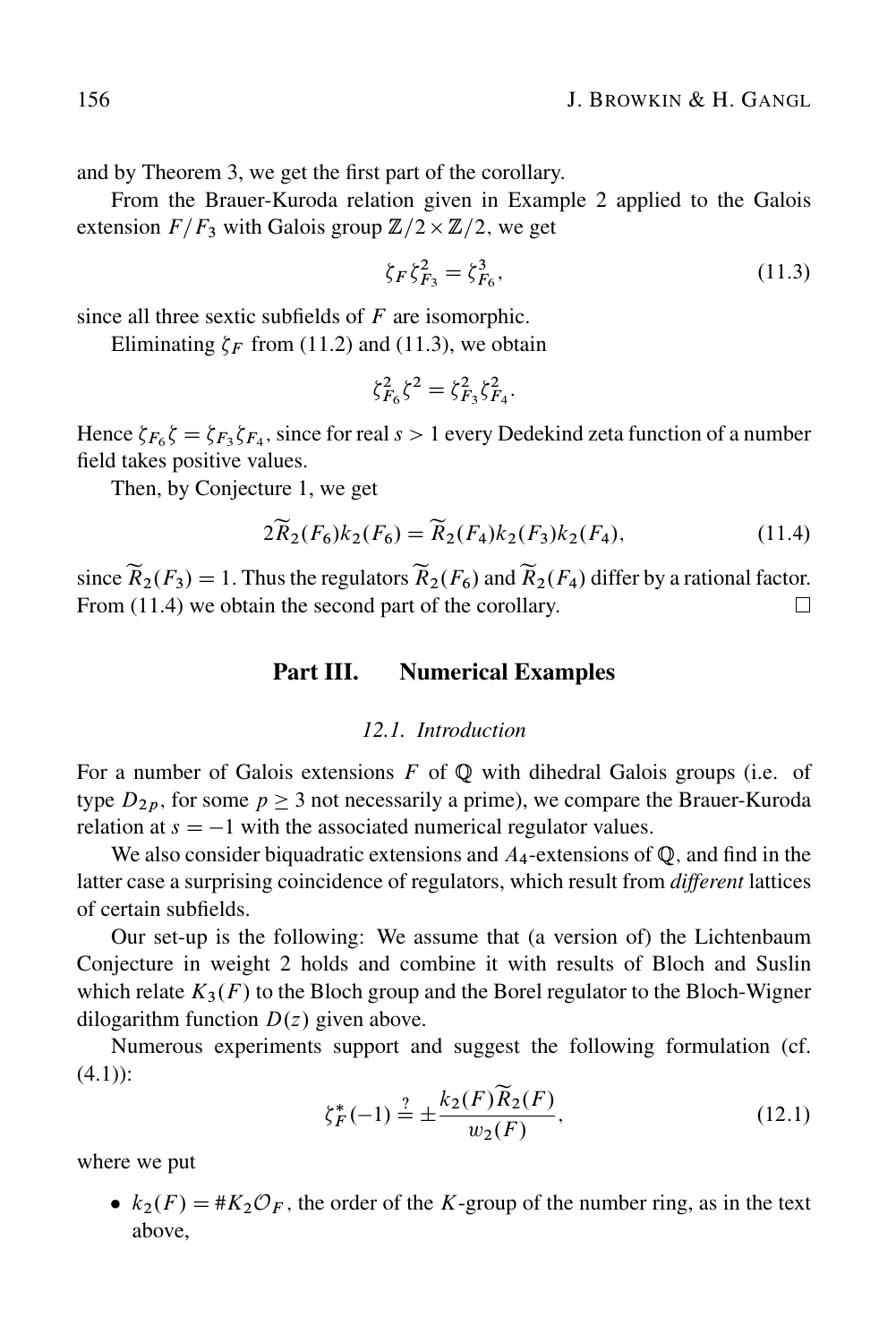and by Theorem 3, we get the first part of the corollary.

From the Brauer-Kuroda relation given in Example 2 applied to the Galois extension  $F/F_3$  with Galois group  $\mathbb{Z}/2 \times \mathbb{Z}/2$ , we get

$$
\zeta_F \zeta_{F_3}^2 = \zeta_{F_6}^3,\tag{11.3}
$$

since all three sextic subfields of  $F$  are isomorphic.

Eliminating  $\zeta_F$  from (11.2) and (11.3), we obtain

$$
\zeta_{F_6}^2 \zeta^2 = \zeta_{F_3}^2 \zeta_{F_4}^2.
$$

Hence  $\zeta_{F_6} \zeta = \zeta_{F_3} \zeta_{F_4}$ , since for real  $s > 1$  every Dedekind zeta function of a number field takes positive values.

Then, by Conjecture 1, we get

$$
2\widetilde{R}_2(F_6)k_2(F_6) = \widetilde{R}_2(F_4)k_2(F_3)k_2(F_4),\tag{11.4}
$$

since  $\widetilde{R}_2(F_3) = 1$ . Thus the regulators  $\widetilde{R}_2(F_6)$  and  $\widetilde{R}_2(F_4)$  differ by a rational factor. From  $(11.4)$  we obtain the second part of the corollary.  $\Box$ 

## Part III. Numerical Examples

#### *12.1. Introduction*

For a number of Galois extensions  $F$  of  $\mathbb Q$  with dihedral Galois groups (i.e. of type  $D_{2p}$ , for some  $p \ge 3$  not necessarily a prime), we compare the Brauer-Kuroda relation at  $s = -1$  with the associated numerical regulator values.

We also consider biquadratic extensions and  $A_4$ -extensions of  $\mathbb Q$ , and find in the latter case a surprising coincidence of regulators, which result from *different* lattices of certain subfields.

Our set-up is the following: We assume that (a version of) the Lichtenbaum Conjecture in weight 2 holds and combine it with results of Bloch and Suslin which relate  $K_3(F)$  to the Bloch group and the Borel regulator to the Bloch-Wigner dilogarithm function  $D(z)$  given above.

Numerous experiments support and suggest the following formulation (cf.  $(4.1)$ :

$$
\zeta_F^*(-1) \stackrel{?}{=} \pm \frac{k_2(F)\tilde{R}_2(F)}{w_2(F)},\tag{12.1}
$$

where we put

•  $k_2(F) = #K_2\mathcal{O}_F$ , the order of the K-group of the number ring, as in the text above,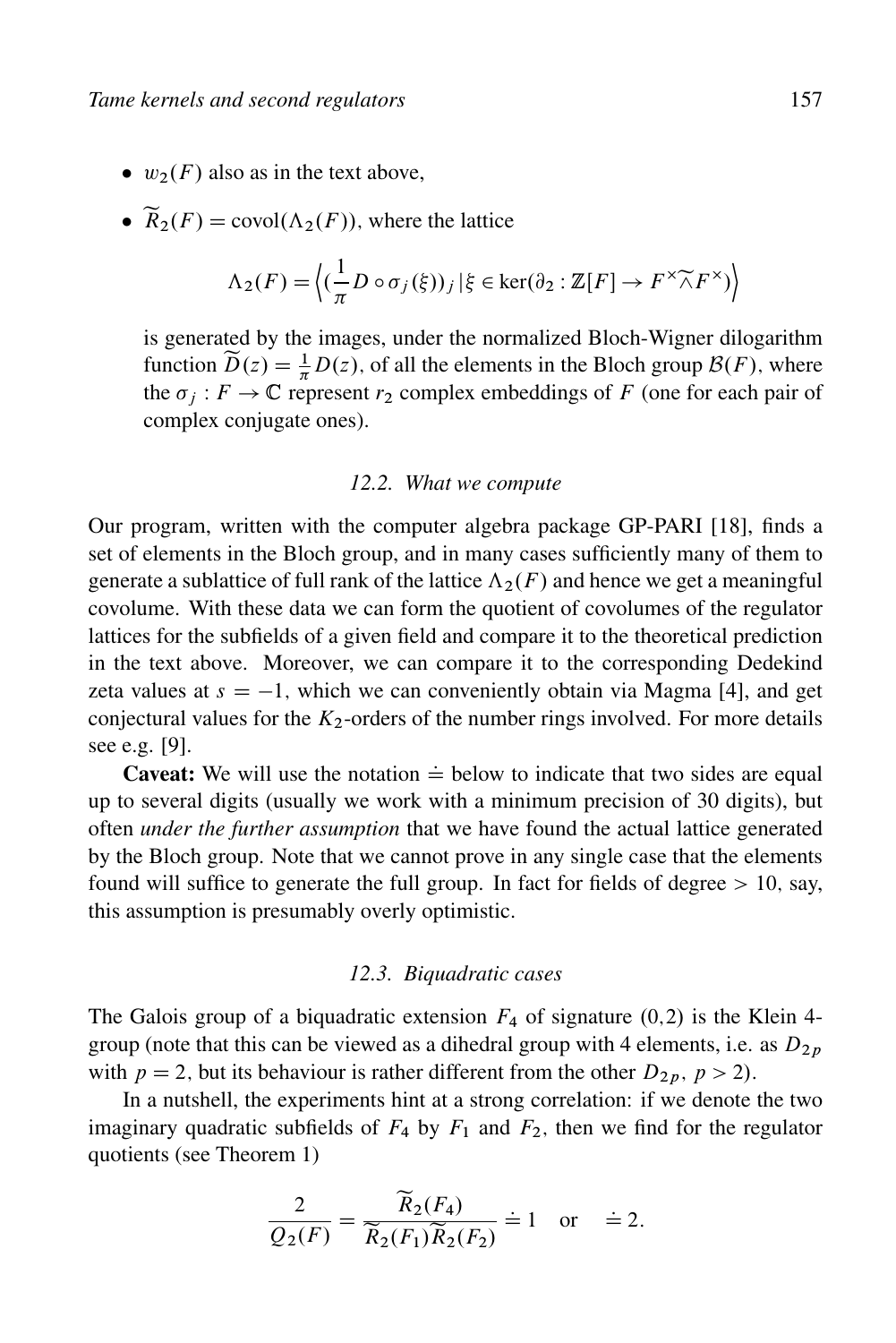- $w_2(F)$  also as in the text above,
- $\widetilde{R}_2(F) = \text{covol}(\Lambda_2(F))$ , where the lattice

$$
\Lambda_2(F) = \left\langle (\frac{1}{\pi} D \circ \sigma_j(\xi))_j | \xi \in \ker(\partial_2 : \mathbb{Z}[F] \to F^\times \widetilde{\wedge} F^\times) \right\rangle
$$

is generated by the images, under the normalized Bloch-Wigner dilogarithm function  $\widetilde{D}(z) = \frac{1}{\pi} D(z)$ , of all the elements in the Bloch group  $\mathcal{B}(F)$ , where the  $\sigma_i : F \to \mathbb{C}$  represent  $r_2$  complex embeddings of F (one for each pair of complex conjugate ones).

#### *12.2. What we compute*

Our program, written with the computer algebra package GP-PARI [18], finds a set of elements in the Bloch group, and in many cases sufficiently many of them to generate a sublattice of full rank of the lattice  $\Lambda_2(F)$  and hence we get a meaningful covolume. With these data we can form the quotient of covolumes of the regulator lattices for the subfields of a given field and compare it to the theoretical prediction in the text above. Moreover, we can compare it to the corresponding Dedekind zeta values at  $s = -1$ , which we can conveniently obtain via Magma [4], and get conjectural values for the  $K_2$ -orders of the number rings involved. For more details see e.g. [9].

**Caveat:** We will use the notation  $\dot{=}$  below to indicate that two sides are equal up to several digits (usually we work with a minimum precision of 30 digits), but often *under the further assumption* that we have found the actual lattice generated by the Bloch group. Note that we cannot prove in any single case that the elements found will suffice to generate the full group. In fact for fields of degree  $> 10$ , say, this assumption is presumably overly optimistic.

#### *12.3. Biquadratic cases*

The Galois group of a biquadratic extension  $F_4$  of signature  $(0,2)$  is the Klein 4group (note that this can be viewed as a dihedral group with 4 elements, i.e. as  $D_{2p}$ with  $p = 2$ , but its behaviour is rather different from the other  $D_{2p}$ ,  $p > 2$ ).

In a nutshell, the experiments hint at a strong correlation: if we denote the two imaginary quadratic subfields of  $F_4$  by  $F_1$  and  $F_2$ , then we find for the regulator quotients (see Theorem 1)

$$
\frac{2}{Q_2(F)} = \frac{\widetilde{R}_2(F_4)}{\widetilde{R}_2(F_1)\widetilde{R}_2(F_2)} \doteq 1 \quad \text{or} \quad \doteq 2.
$$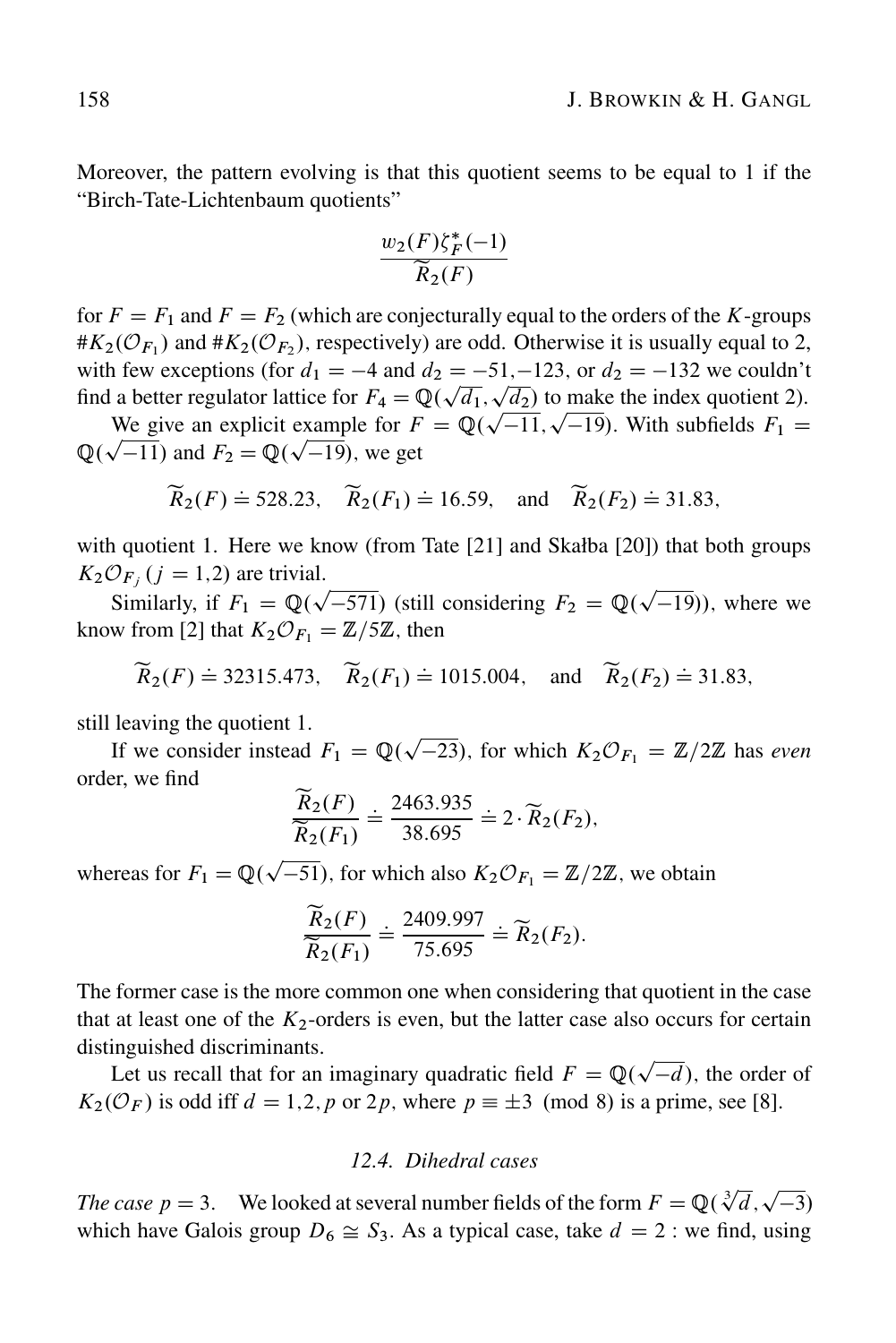Moreover, the pattern evolving is that this quotient seems to be equal to 1 if the "Birch-Tate-Lichtenbaum quotients"

$$
\frac{w_2(F)\zeta_F^*(-1)}{\widetilde{R}_2(F)}
$$

for  $F = F_1$  and  $F = F_2$  (which are conjecturally equal to the orders of the K-groups # $K_2(\mathcal{O}_{F_1})$  and # $K_2(\mathcal{O}_{F_2})$ , respectively) are odd. Otherwise it is usually equal to 2, with few exceptions (for  $d_1 = -4$  and  $d_2 = -51, -123$ , or  $d_2 = -132$  we couldn't with few exceptions (for  $u_1 = -4$  and  $u_2 = -31, -123$ , or  $u_2 = -132$  we counting that a better regulator lattice for  $F_4 = \mathbb{Q}(\sqrt{d_1}, \sqrt{d_2})$  to make the index quotient 2).

a better regulator fattice for  $F = \mathbb{Q}(\sqrt{a_1}, \sqrt{a_2})$  to make the muex quotient 2).<br>We give an explicit example for  $F = \mathbb{Q}(\sqrt{-11}, \sqrt{-19})$ . With subfields  $F_1 =$ we give an explicit example for  $\Gamma$ <br> $\mathbb{Q}(\sqrt{-11})$  and  $F_2 = \mathbb{Q}(\sqrt{-19})$ , we get

$$
\widetilde{R}_2(F) \doteq 528.23
$$
,  $\widetilde{R}_2(F_1) \doteq 16.59$ , and  $\widetilde{R}_2(F_2) \doteq 31.83$ ,

with quotient 1. Here we know (from Tate [21] and Skałba [20]) that both groups  $K_2 \mathcal{O}_{F_i}$   $(j = 1,2)$  are trivial.

Similarly, if  $F_1 = \mathbb{Q}(\sqrt{-571})$  (still considering  $F_2 = \mathbb{Q}(\sqrt{-19})$ ), where we know from [2] that  $K_2 \mathcal{O}_{F_1} = \mathbb{Z}/5\mathbb{Z}$ , then

$$
\widetilde{R}_2(F) \doteq 32315.473
$$
,  $\widetilde{R}_2(F_1) \doteq 1015.004$ , and  $\widetilde{R}_2(F_2) \doteq 31.83$ ,

still leaving the quotient 1.

If we consider instead  $F_1 = \mathbb{Q}(\sqrt{-23})$ , for which  $K_2 \mathcal{O}_{F_1} = \mathbb{Z}/2\mathbb{Z}$  has *even* order, we find

$$
\frac{\widetilde{R}_2(F)}{\widetilde{R}_2(F_1)} \doteq \frac{2463.935}{38.695} \doteq 2 \cdot \widetilde{R}_2(F_2),
$$

whereas for  $F_1 = \mathbb{Q}(\sqrt{-51})$ , for which also  $K_2 \mathcal{O}_{F_1} = \mathbb{Z}/2\mathbb{Z}$ , we obtain

$$
\frac{\widetilde{R}_2(F)}{\widetilde{R}_2(F_1)} \doteq \frac{2409.997}{75.695} \doteq \widetilde{R}_2(F_2).
$$

The former case is the more common one when considering that quotient in the case that at least one of the  $K_2$ -orders is even, but the latter case also occurs for certain distinguished discriminants.

Inguished discriminants.<br>Let us recall that for an imaginary quadratic field  $F = \mathbb{Q}(\sqrt{-d})$ , the order of  $K_2(\mathcal{O}_F)$  is odd iff  $d = 1,2,p$  or 2p, where  $p \equiv \pm 3 \pmod{8}$  is a prime, see [8].

### *12.4. Dihedral cases*

*The case p* = 3. We looked at several number fields of the form  $F = \mathbb{Q}(\sqrt[3]{d}, \sqrt{-3})$ which have Galois group  $D_6 \cong S_3$ . As a typical case, take  $d = 2$  : we find, using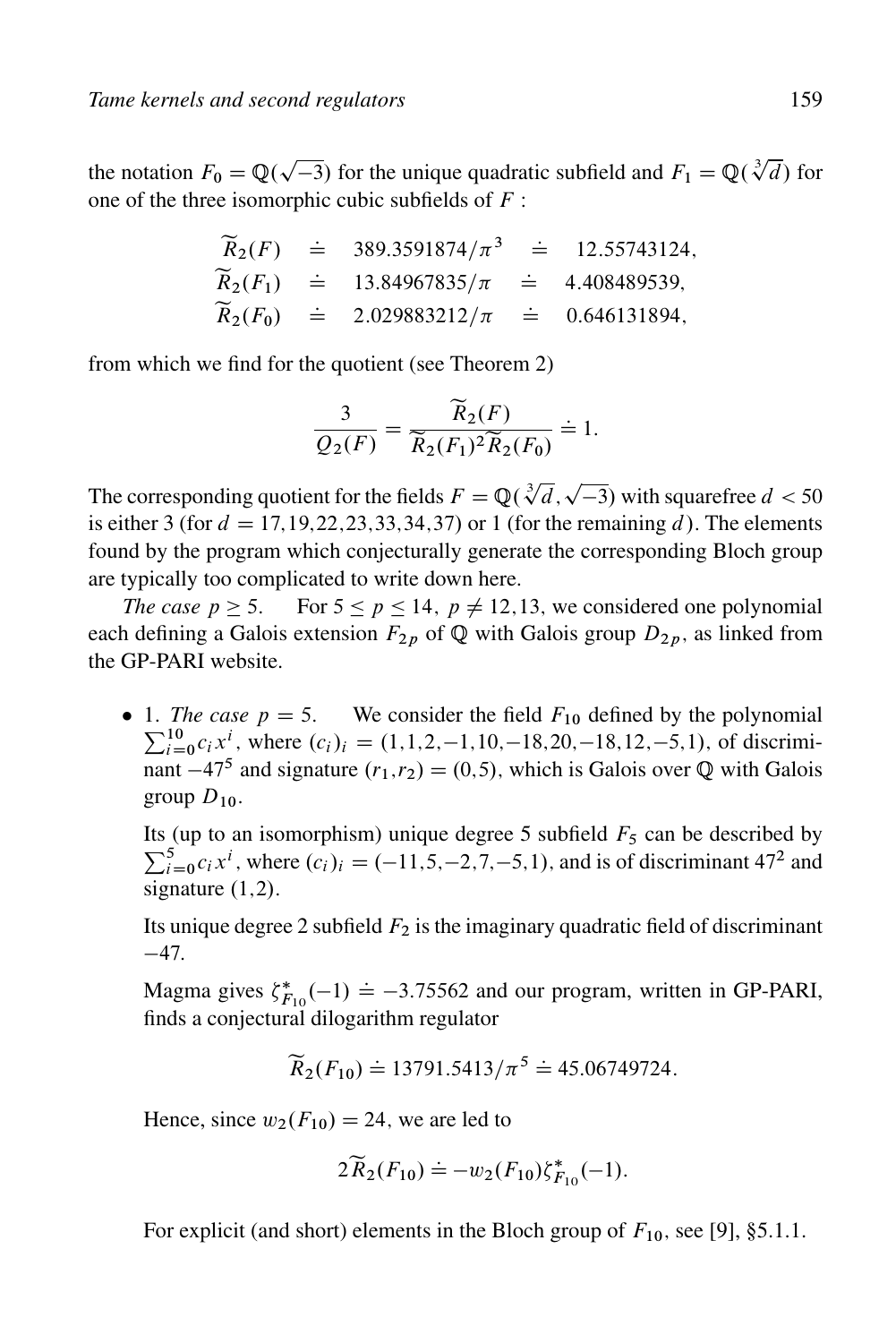the notation  $F_0 = \mathbb{Q}(\sqrt{-3})$  for the unique quadratic subfield and  $F_1 = \mathbb{Q}(\sqrt[3]{d})$  for one of the three isomorphic cubic subfields of  $F$ :

$$
\widetilde{R}_2(F)
$$
 = 389.3591874/ $\pi^3$  = 12.55743124,  
\n $\widetilde{R}_2(F_1)$  = 13.84967835/ $\pi$  = 4.408489539,  
\n $\widetilde{R}_2(F_0)$  = 2.029883212/ $\pi$  = 0.646131894,

from which we find for the quotient (see Theorem 2)

$$
\frac{3}{Q_2(F)} = \frac{\widetilde{R}_2(F)}{\widetilde{R}_2(F_1)^2 \widetilde{R}_2(F_0)} = 1.
$$

The corresponding quotient for the fields  $F = \mathbb{Q}(\sqrt[3]{d}, \sqrt{-3})$  with squarefree  $d < 50$ is either 3 (for  $d = 17,19,22,23,33,34,37$ ) or 1 (for the remaining d). The elements found by the program which conjecturally generate the corresponding Bloch group are typically too complicated to write down here.

*The case*  $p \ge 5$ . For  $5 \le p \le 14$ ,  $p \ne 12,13$ , we considered one polynomial each defining a Galois extension  $F_{2p}$  of  $\mathbb Q$  with Galois group  $D_{2p}$ , as linked from the GP-PARI website.

• 1. *The case*  $p = 5$ . We consider the field  $F_{10}$  defined by the polynomial  $\sum_{i=1}^{10} a_i x^i$ , where  $(a_i)_{i} = (1 \ 1 \ 2 \ 1 \ 10 \ 18 \ 20 \ 18 \ 12 \ 5 \ 1)$  of discrimi  $_{i=0}^{10}$   $c_i x^i$ , where  $(c_i)_i = (1,1,2,-1,10,-18,20,-18,12,-5,1)$ , of discriminant  $-47^5$  and signature  $(r_1,r_2) = (0,5)$ , which is Galois over Q with Galois group  $D_{10}$ .

Its (up to an isomorphism) unique degree 5 subfield  $F_5$  can be described by  $\sum_{i=0}^{5} c_i x^{i}$ , where  $(c_i)_i = (-11, 5, -2, 7, -5, 1)$ , and is of discriminant 47<sup>2</sup> and signature  $(1,2)$ .

Its unique degree 2 subfield  $F_2$  is the imaginary quadratic field of discriminant  $-47.$ 

Magma gives  $\zeta_{F_{10}}^*(-1) \doteq -3.75562$  and our program, written in GP-PARI, finds a conjectural dilogarithm regulator

$$
\widetilde{R}_2(F_{10}) \doteq 13791.5413/\pi^5 \doteq 45.06749724.
$$

Hence, since  $w_2(F_{10}) = 24$ , we are led to

$$
2\widetilde{R}_2(F_{10}) \doteq -w_2(F_{10})\zeta_{F_{10}}^*(-1).
$$

For explicit (and short) elements in the Bloch group of  $F_{10}$ , see [9], §5.1.1.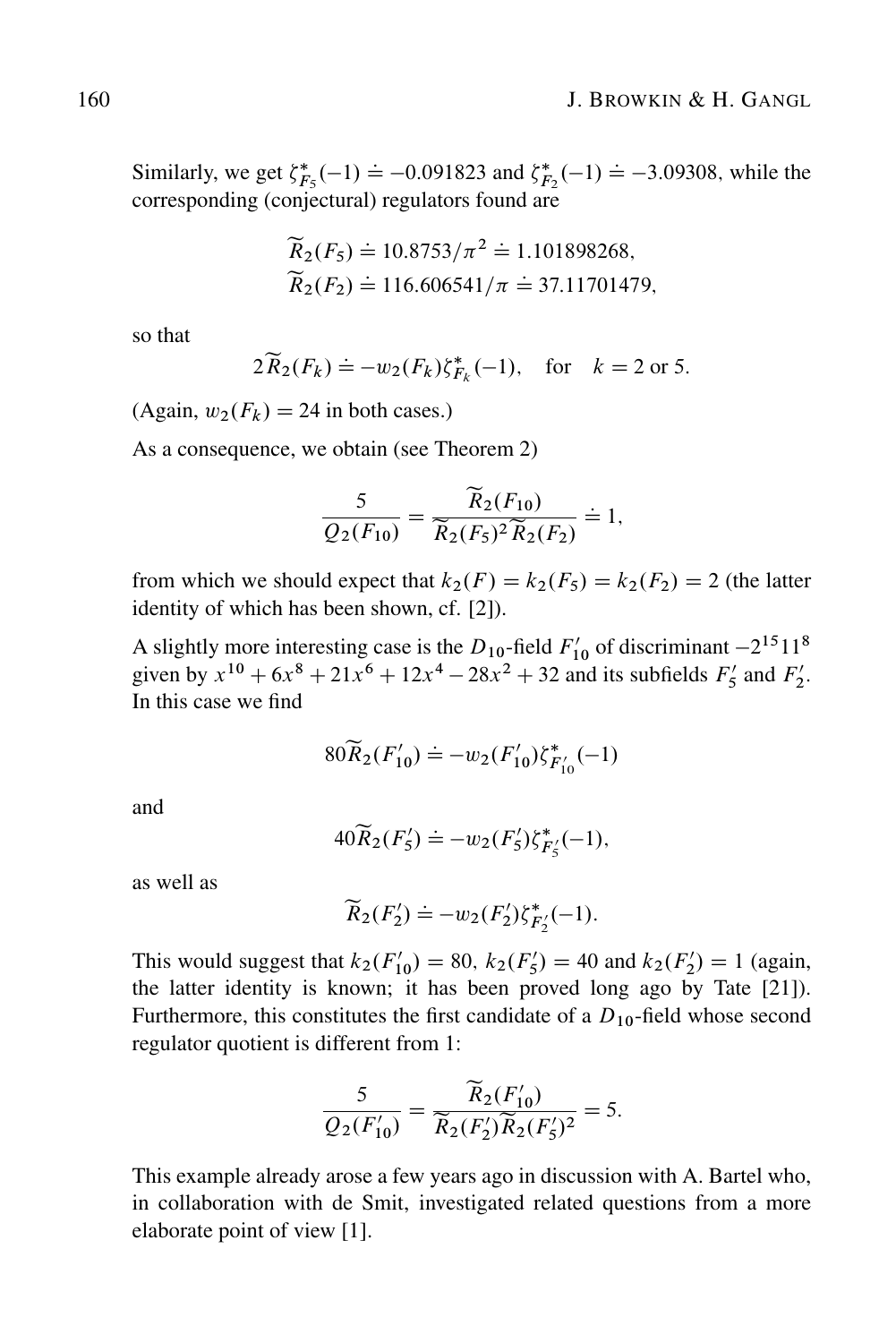Similarly, we get  $\zeta_{F_5}^*(-1) \doteq -0.091823$  and  $\zeta_{F_2}^*(-1) \doteq -3.09308$ , while the corresponding (conjectural) regulators found are

$$
\widetilde{R}_2(F_5) \doteq 10.8753/\pi^2 \doteq 1.101898268,
$$
  

$$
\widetilde{R}_2(F_2) \doteq 116.606541/\pi \doteq 37.11701479,
$$

so that

$$
2\widetilde{R}_2(F_k) \doteq -w_2(F_k)\zeta_{F_k}^*(-1), \text{ for } k=2 \text{ or } 5.
$$

(Again,  $w_2(F_k) = 24$  in both cases.)

As a consequence, we obtain (see Theorem 2)

$$
\frac{5}{Q_2(F_{10})} = \frac{\widetilde{R}_2(F_{10})}{\widetilde{R}_2(F_5)^2 \widetilde{R}_2(F_2)} \doteq 1,
$$

from which we should expect that  $k_2(F) = k_2(F_5) = k_2(F_2) = 2$  (the latter identity of which has been shown, cf. [2]).

A slightly more interesting case is the  $D_{10}$ -field  $F'_{10}$  of discriminant  $-2^{15}11^8$ given by  $x^{10} + 6x^8 + 21x^6 + 12x^4 - 28x^2 + 32$  and its subfields  $F'_5$  and  $F'_2$ . In this case we find

$$
80\widetilde{R}_2(F'_{10}) \doteq -w_2(F'_{10})\zeta^*_{F'_{10}}(-1)
$$

and

$$
40\widetilde{R}_2(F_5') \doteq -w_2(F_5')\zeta_{F_5'}^*(-1),
$$

as well as

$$
\widetilde{R}_2(F_2') \doteq -w_2(F_2')\zeta_{F_2'}^*(-1).
$$

This would suggest that  $k_2(F'_{10}) = 80$ ,  $k_2(F'_5) = 40$  and  $k_2(F'_2) = 1$  (again, the latter identity is known; it has been proved long ago by Tate [21]). Furthermore, this constitutes the first candidate of a  $D_{10}$ -field whose second regulator quotient is different from 1:

$$
\frac{5}{Q_2(F'_{10})} = \frac{\widetilde{R}_2(F'_{10})}{\widetilde{R}_2(F'_2)\widetilde{R}_2(F'_5)^2} = 5.
$$

This example already arose a few years ago in discussion with A. Bartel who, in collaboration with de Smit, investigated related questions from a more elaborate point of view [1].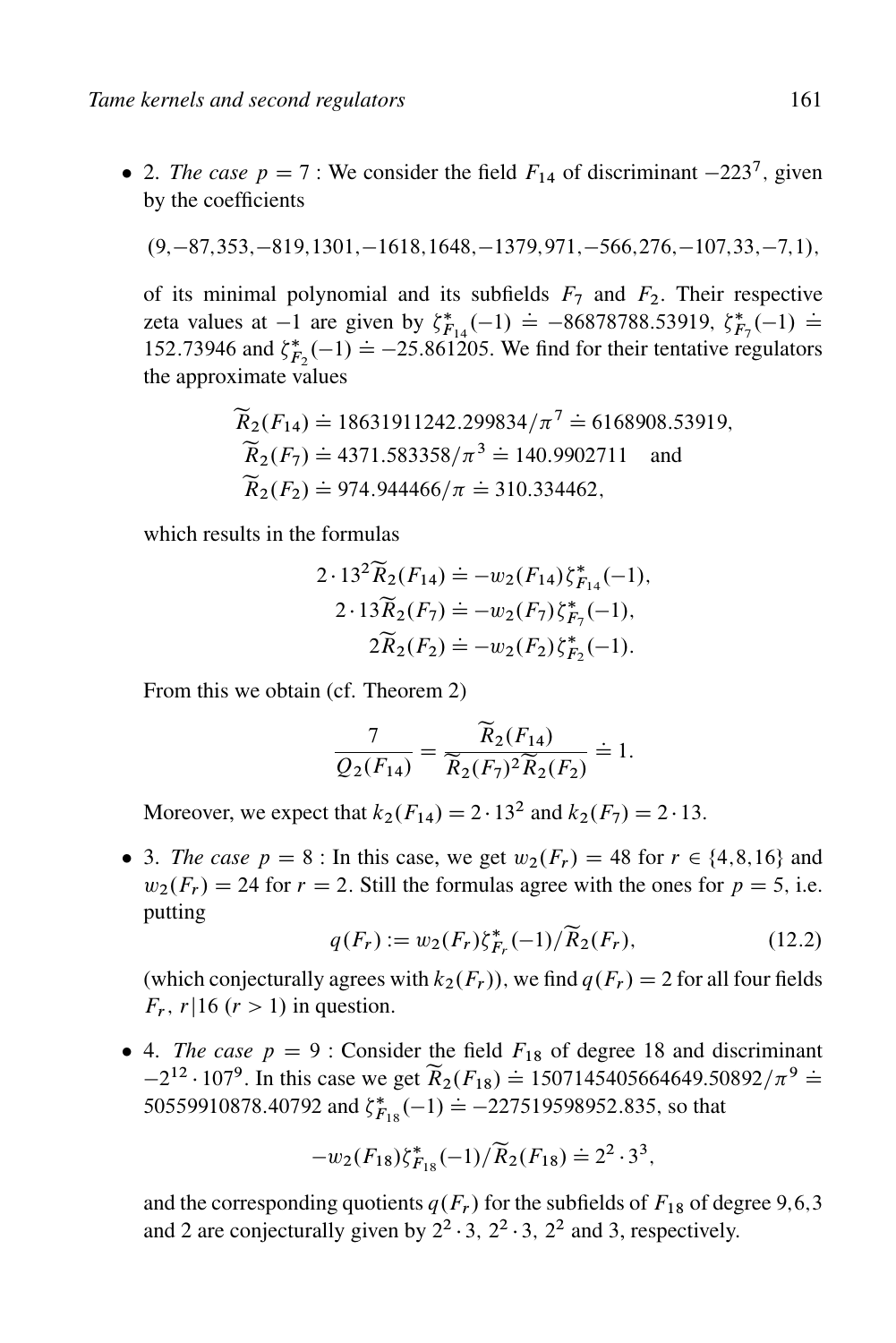• 2. *The case*  $p = 7$ : We consider the field  $F_{14}$  of discriminant  $-223^7$ , given by the coefficients

$$
(9, -87, 353, -819, 1301, -1618, 1648, -1379, 971, -566, 276, -107, 33, -7, 1),
$$

of its minimal polynomial and its subfields  $F_7$  and  $F_2$ . Their respective zeta values at -1 are given by  $\zeta_{F_{14}}^*$  (-1) = -86878788.53919;  $\zeta_{F_7}^*$  (-1) = 152.73946 and  $\xi_{F_2}^*(-1) = -25.861205$ . We find for their tentative regulators the approximate values

$$
\widetilde{R}_2(F_{14}) \doteq 18631911242.299834/\pi^7 \doteq 6168908.53919,
$$
  
\n
$$
\widetilde{R}_2(F_7) \doteq 4371.583358/\pi^3 \doteq 140.9902711
$$
 and  
\n
$$
\widetilde{R}_2(F_2) \doteq 974.944466/\pi \doteq 310.334462,
$$

which results in the formulas

$$
2 \cdot 13^{2} \widetilde{R}_{2}(F_{14}) \doteq -w_{2}(F_{14}) \zeta_{F_{14}}^{*}(-1),
$$
  

$$
2 \cdot 13 \widetilde{R}_{2}(F_{7}) \doteq -w_{2}(F_{7}) \zeta_{F_{7}}^{*}(-1),
$$
  

$$
2 \widetilde{R}_{2}(F_{2}) \doteq -w_{2}(F_{2}) \zeta_{F_{2}}^{*}(-1).
$$

From this we obtain (cf. Theorem 2)

$$
\frac{7}{Q_2(F_{14})} = \frac{\widetilde{R}_2(F_{14})}{\widetilde{R}_2(F_7)^2 \widetilde{R}_2(F_2)} = 1.
$$

Moreover, we expect that  $k_2(F_{14}) = 2 \cdot 13^2$  and  $k_2(F_7) = 2 \cdot 13$ .

• 3. *The case*  $p = 8$ : In this case, we get  $w_2(F_r) = 48$  for  $r \in \{4, 8, 16\}$  and  $w_2(F_r) = 24$  for  $r = 2$ . Still the formulas agree with the ones for  $p = 5$ , i.e. putting

$$
q(F_r) := w_2(F_r)\zeta_{F_r}^*(-1)/\widetilde{R}_2(F_r),\tag{12.2}
$$

(which conjecturally agrees with  $k_2(F_r)$ ), we find  $q(F_r) = 2$  for all four fields  $F_r$ ,  $r|16$   $(r > 1)$  in question.

• 4. *The case*  $p = 9$ : Consider the field  $F_{18}$  of degree 18 and discriminant 212 · 1079. In this case we get  $\widetilde{R}_2(F_{18}) = 1507145405664649.50892/\pi^9 =$ 50559910878.40792 and  $\zeta_{F_{18}}^*(-1) = -227519598952.835$ , so that

$$
-w_2(F_{18})\zeta_{F_{18}}^*(-1)/\widetilde{R}_2(F_{18})\doteq 2^2\cdot 3^3,
$$

and the corresponding quotients  $q(F_r)$  for the subfields of  $F_{18}$  of degree 9,6,3 and 2 are conjecturally given by  $2^2 \cdot 3$ ,  $2^2 \cdot 3$ ,  $2^2$  and 3, respectively.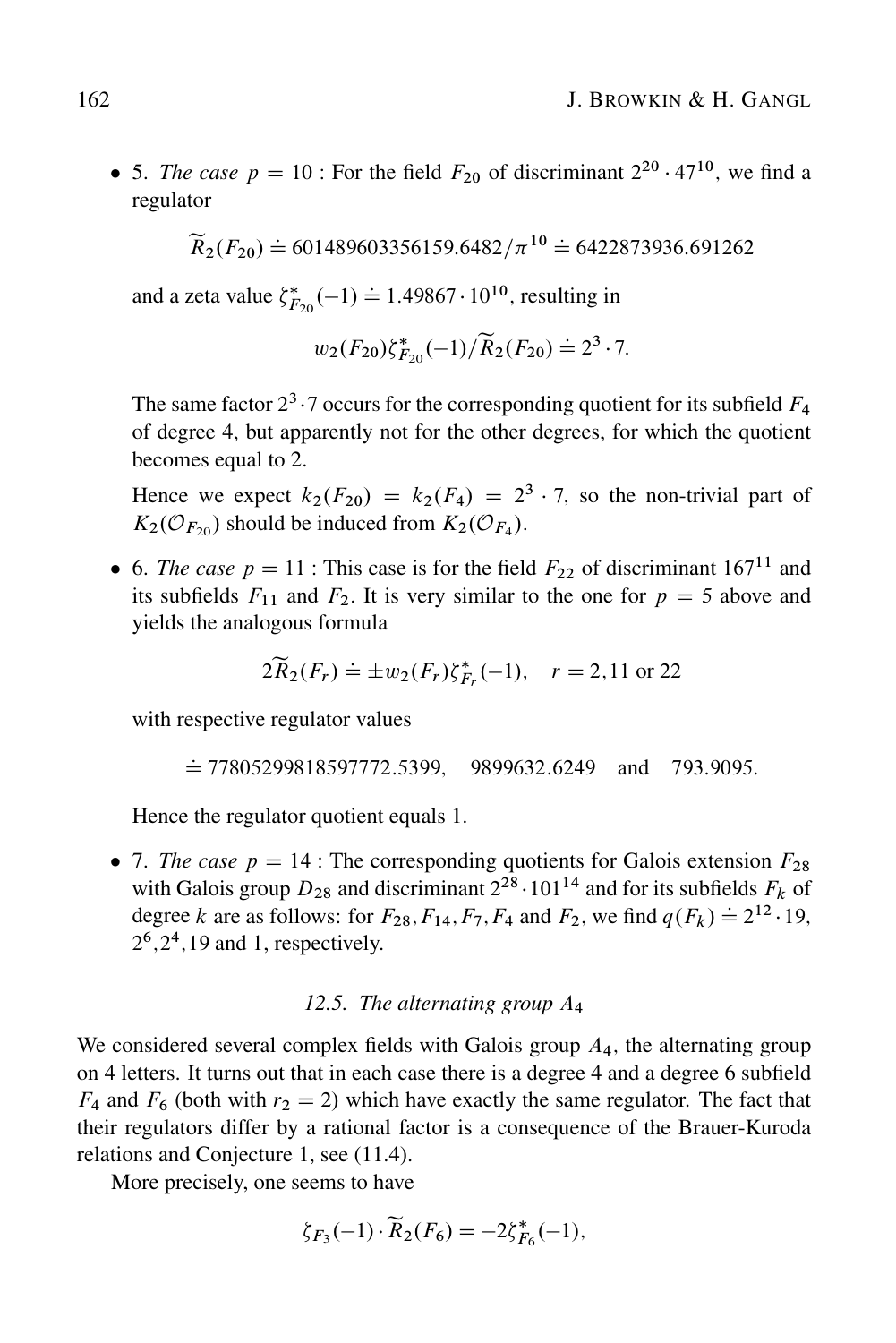• 5. *The case*  $p = 10$ : For the field  $F_{20}$  of discriminant  $2^{20} \cdot 47^{10}$ , we find a regulator

 $\widetilde{R}_2(F_{20}) \doteq 601489603356159.6482/\pi^{10} \doteq 6422873936.691262$ 

and a zeta value  $\zeta_{F_{20}}^*(-1) \doteq 1.49867 \cdot 10^{10}$ , resulting in

$$
w_2(F_{20})\zeta_{F_{20}}^*(-1)/\widetilde{R}_2(F_{20})\doteq 2^3\cdot 7.
$$

The same factor  $2^3 \cdot 7$  occurs for the corresponding quotient for its subfield  $F_4$ of degree 4, but apparently not for the other degrees, for which the quotient becomes equal to 2.

Hence we expect  $k_2(F_{20}) = k_2(F_4) = 2^3 \cdot 7$ , so the non-trivial part of  $K_2(\mathcal{O}_{F_{20}})$  should be induced from  $K_2(\mathcal{O}_{F_4})$ .

6. *The case*  $p = 11$ : This case is for the field  $F_{22}$  of discriminant 167<sup>11</sup> and its subfields  $F_{11}$  and  $F_2$ . It is very similar to the one for  $p = 5$  above and yields the analogous formula

$$
2\widetilde{R}_2(F_r) \doteq \pm w_2(F_r)\zeta_{F_r}^*(-1), \quad r = 2,11 \text{ or } 22
$$

with respective regulator values

 $\dot{=} 77805299818597772.5399, 9899632.6249$  and 793.9095.

Hence the regulator quotient equals 1.

• 7. *The case*  $p = 14$ : The corresponding quotients for Galois extension  $F_{28}$ with Galois group  $D_{28}$  and discriminant  $2^{28} \cdot 101^{14}$  and for its subfields  $F_k$  of degree k are as follows: for  $F_{28}$ ,  $F_{14}$ ,  $F_7$ ,  $F_4$  and  $F_2$ , we find  $q(F_k) \doteq 2^{12} \cdot 19$ ;  $2^6$ ,  $2^4$ , 19 and 1, respectively.

#### *12.5. The alternating group* A<sup>4</sup>

We considered several complex fields with Galois group  $A<sub>4</sub>$ , the alternating group on 4 letters. It turns out that in each case there is a degree 4 and a degree 6 subfield  $F_4$  and  $F_6$  (both with  $r_2 = 2$ ) which have exactly the same regulator. The fact that their regulators differ by a rational factor is a consequence of the Brauer-Kuroda relations and Conjecture 1, see (11.4).

More precisely, one seems to have

$$
\zeta_{F_3}(-1) \cdot \widetilde{R}_2(F_6) = -2\zeta_{F_6}^*(-1),
$$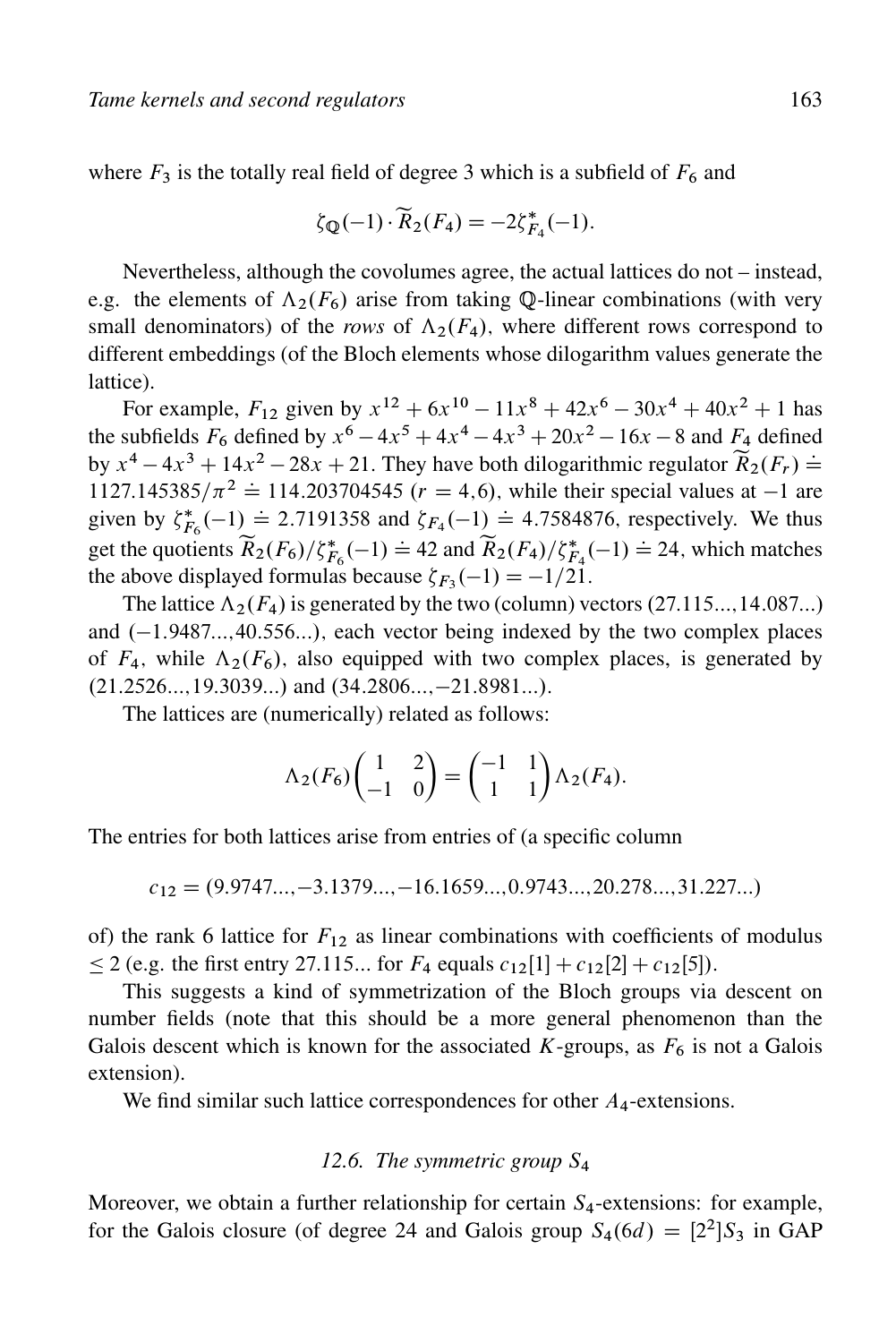where  $F_3$  is the totally real field of degree 3 which is a subfield of  $F_6$  and

$$
\zeta_{\mathbb{Q}}(-1) \cdot \widetilde{R}_2(F_4) = -2\zeta_{F_4}^*(-1).
$$

Nevertheless, although the covolumes agree, the actual lattices do not – instead, e.g. the elements of  $\Lambda_2(F_6)$  arise from taking Q-linear combinations (with very small denominators) of the *rows* of  $\Lambda_2(F_4)$ , where different rows correspond to different embeddings (of the Bloch elements whose dilogarithm values generate the lattice).

For example,  $F_{12}$  given by  $x^{12} + 6x^{10} - 11x^8 + 42x^6 - 30x^4 + 40x^2 + 1$  has the subfields  $F_6$  defined by  $x^6 - 4x^5 + 4x^4 - 4x^3 + 20x^2 - 16x - 8$  and  $F_4$  defined by  $x^4 - 4x^3 + 14x^2 - 28x + 21$ . They have both dilogarithmic regulator  $\widetilde{R}_2(F_r)$  = 1127.145385/ $\pi^2 \doteq 114.203704545$   $(r = 4, 6)$ , while their special values at -1 are given by  $\xi_{F_6}^*(-1) = 2.7191358$  and  $\xi_{F_4}(-1) = 4.7584876$ , respectively. We thus get the quotients  $\widetilde{R}_2(F_6)/\zeta_{F_6}^*(-1) = 42$  and  $\widetilde{R}_2(F_4)/\zeta_{F_4}^*(-1) = 24$ , which matches the above displayed formulas because  $\zeta_{F_3}(-1) = -1/21$ .

The lattice  $\Lambda_2(F_4)$  is generated by the two (column) vectors (27.115..., 14.087...) and  $(-1.9487...,40.556...)$ , each vector being indexed by the two complex places of  $F_4$ , while  $\Lambda_2(F_6)$ , also equipped with two complex places, is generated by  $(21.2526...,19.3039...)$  and  $(34.2806..., -21.8981...)$ .

The lattices are (numerically) related as follows:

$$
\Lambda_2(F_6)\begin{pmatrix} 1 & 2 \ -1 & 0 \end{pmatrix} = \begin{pmatrix} -1 & 1 \ 1 & 1 \end{pmatrix} \Lambda_2(F_4).
$$

The entries for both lattices arise from entries of (a specific column

 $c_{12} = (9.9747..., -3.1379..., -16.1659..., 0.9743..., 20.278..., 31.227...)$ 

of) the rank 6 lattice for  $F_{12}$  as linear combinations with coefficients of modulus  $\leq$  2 (e.g. the first entry 27.115... for  $F_4$  equals  $c_{12}[1] + c_{12}[2] + c_{12}[5]$ ).

This suggests a kind of symmetrization of the Bloch groups via descent on number fields (note that this should be a more general phenomenon than the Galois descent which is known for the associated K-groups, as  $F_6$  is not a Galois extension).

We find similar such lattice correspondences for other  $A_4$ -extensions.

#### *12.6. The symmetric group* S<sup>4</sup>

Moreover, we obtain a further relationship for certain  $S<sub>4</sub>$ -extensions: for example, for the Galois closure (of degree 24 and Galois group  $S_4(6d) = [2^2]S_3$  in GAP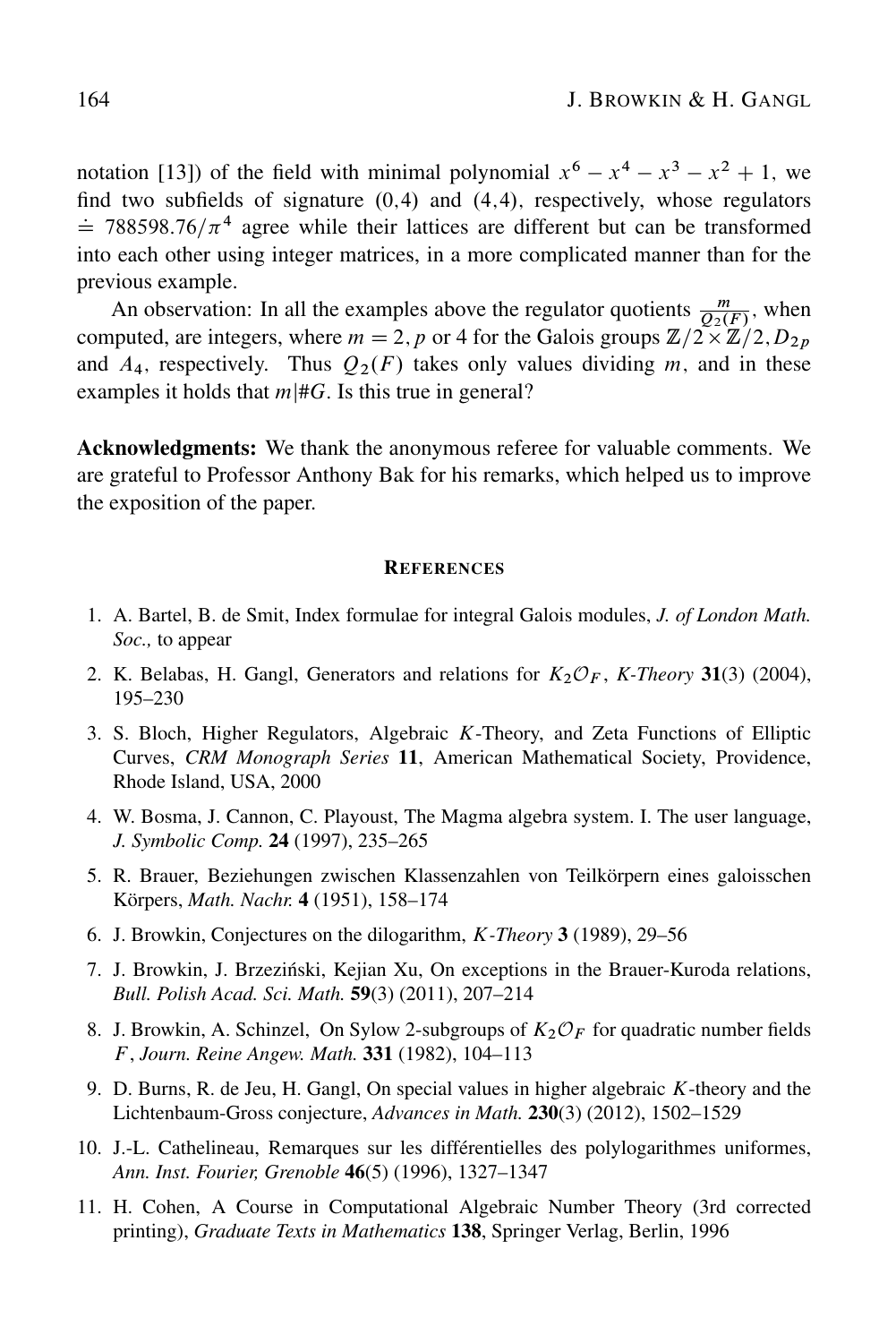notation [13]) of the field with minimal polynomial  $x^6 - x^4 - x^3 - x^2 + 1$ , we find two subfields of signature  $(0,4)$  and  $(4,4)$ , respectively, whose regulators  $\dot{p}$  788598.76/ $\pi$ <sup>4</sup> agree while their lattices are different but can be transformed into each other using integer matrices, in a more complicated manner than for the previous example.

An observation: In all the examples above the regulator quotients  $\frac{m}{Q_2(F)}$ , when computed, are integers, where  $m = 2$ , p or 4 for the Galois groups  $\mathbb{Z}/2 \times \mathbb{Z}/2$ ,  $D_{2p}$ and  $A_4$ , respectively. Thus  $Q_2(F)$  takes only values dividing m, and in these examples it holds that  $m \neq G$ . Is this true in general?

Acknowledgments: We thank the anonymous referee for valuable comments. We are grateful to Professor Anthony Bak for his remarks, which helped us to improve the exposition of the paper.

#### **REFERENCES**

- 1. A. Bartel, B. de Smit, Index formulae for integral Galois modules, *J. of London Math. Soc.,* to appear
- 2. K. Belabas, H. Gangl, Generators and relations for  $K_2\mathcal{O}_F$ , *K-Theory* 31(3) (2004), 195–230
- 3. S. Bloch, Higher Regulators, Algebraic K-Theory, and Zeta Functions of Elliptic Curves, *CRM Monograph Series* 11, American Mathematical Society, Providence, Rhode Island, USA, 2000
- 4. W. Bosma, J. Cannon, C. Playoust, The Magma algebra system. I. The user language, *J. Symbolic Comp.* 24 (1997), 235–265
- 5. R. Brauer, Beziehungen zwischen Klassenzahlen von Teilkörpern eines galoisschen Körpers, *Math. Nachr.* 4 (1951), 158–174
- 6. J. Browkin, Conjectures on the dilogarithm, K*-Theory* 3 (1989), 29–56
- 7. J. Browkin, J. Brzezinski, Kejian Xu, On exceptions in the Brauer-Kuroda relations, ´ *Bull. Polish Acad. Sci. Math.* 59(3) (2011), 207–214
- 8. J. Browkin, A. Schinzel, On Sylow 2-subgroups of  $K_2\mathcal{O}_F$  for quadratic number fields F , *Journ. Reine Angew. Math.* 331 (1982), 104–113
- 9. D. Burns, R. de Jeu, H. Gangl, On special values in higher algebraic K-theory and the Lichtenbaum-Gross conjecture, *Advances in Math.* 230(3) (2012), 1502–1529
- 10. J.-L. Cathelineau, Remarques sur les différentielles des polylogarithmes uniformes, *Ann. Inst. Fourier, Grenoble* 46(5) (1996), 1327–1347
- 11. H. Cohen, A Course in Computational Algebraic Number Theory (3rd corrected printing), *Graduate Texts in Mathematics* 138, Springer Verlag, Berlin, 1996